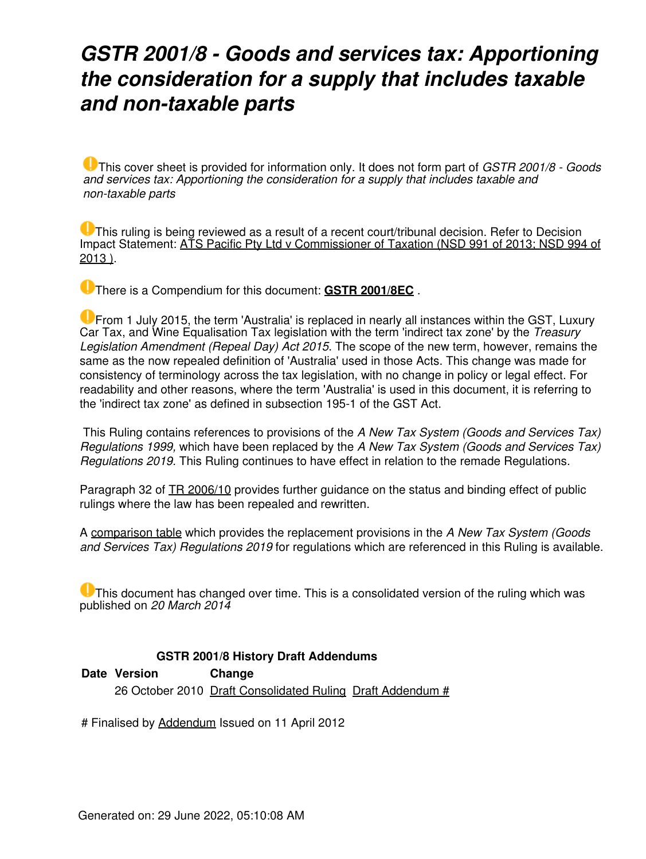### *GSTR 2001/8 - Goods and services tax: Apportioning the consideration for a supply that includes taxable and non-taxable parts*

This cover sheet is provided for information only. It does not form part of *GSTR 2001/8 - Goods and services tax: Apportioning the consideration for a supply that includes taxable and non-taxable parts*

**U** This ruling is being reviewed as a result of a recent court/tribunal decision. Refer to Decision Impact Statement: [ATS Pacific Pty Ltd v Commissioner of Taxation \(NSD 991 of 2013; NSD 994 of](https://www.ato.gov.au/law/view/document?LocID=%22LIT%2FICD%2FNSD991of2013%3BNSD994of2013%2F00001%22&PiT=20140820000001) [2013 \).](https://www.ato.gov.au/law/view/document?LocID=%22LIT%2FICD%2FNSD991of2013%3BNSD994of2013%2F00001%22&PiT=20140820000001)

There is a Compendium for this document: **[GSTR 2001/8EC](https://www.ato.gov.au/law/view/document?LocID=%22CGR%2FGSTR2001EC8%2FNAT%2FATO%2F00001%22&PiT=20140820000001)** .

**U** From 1 July 2015, the term 'Australia' is replaced in nearly all instances within the GST, Luxury Car Tax, and Wine Equalisation Tax legislation with the term 'indirect tax zone' by the *Treasury Legislation Amendment (Repeal Day) Act 2015*. The scope of the new term, however, remains the same as the now repealed definition of 'Australia' used in those Acts. This change was made for consistency of terminology across the tax legislation, with no change in policy or legal effect. For readability and other reasons, where the term 'Australia' is used in this document, it is referring to the 'indirect tax zone' as defined in subsection 195-1 of the GST Act.

 This Ruling contains references to provisions of the *A New Tax System (Goods and Services Tax) Regulations 1999,* which have been replaced by the *A New Tax System (Goods and Services Tax) Regulations 2019.* This Ruling continues to have effect in relation to the remade Regulations.

Paragraph 32 of [TR 2006/10](https://www.ato.gov.au/law/view/document?LocID=%22TXR%2FTR200610%2FNAT%2FATO%22&PiT=20140820000001) provides further guidance on the status and binding effect of public rulings where the law has been repealed and rewritten.

A [comparison table](https://www.ato.gov.au/law/view/document?LocID=%22%20GXR%2Ffind_regs%22&PiT=20140820000001) which provides the replacement provisions in the *A New Tax System (Goods and Services Tax) Regulations 2019* for regulations which are referenced in this Ruling is available.

This document has changed over time. This is a consolidated version of the ruling which was published on *20 March 2014*

#### **GSTR 2001/8 History Draft Addendums**

**Date Version Change** 26 October 2010 [Draft Consolidated Ruling](https://www.ato.gov.au/law/view/document?LocID=%22GST%2FGSTR20018DAC1%2FNAT%2FATO%22&PiT=20111026000001) [Draft Addendum #](https://www.ato.gov.au/law/view/document?LocID=%22GST%2FGSTR20018DA%2FNAT%2FATO%22&PiT=20111026000001)

# Finalised by [Addendum](https://www.ato.gov.au/law/view/document?LocID=%22GST%2FGSTR20018A3%2FNAT%2FATO%22&PiT=20120411000001) Issued on 11 April 2012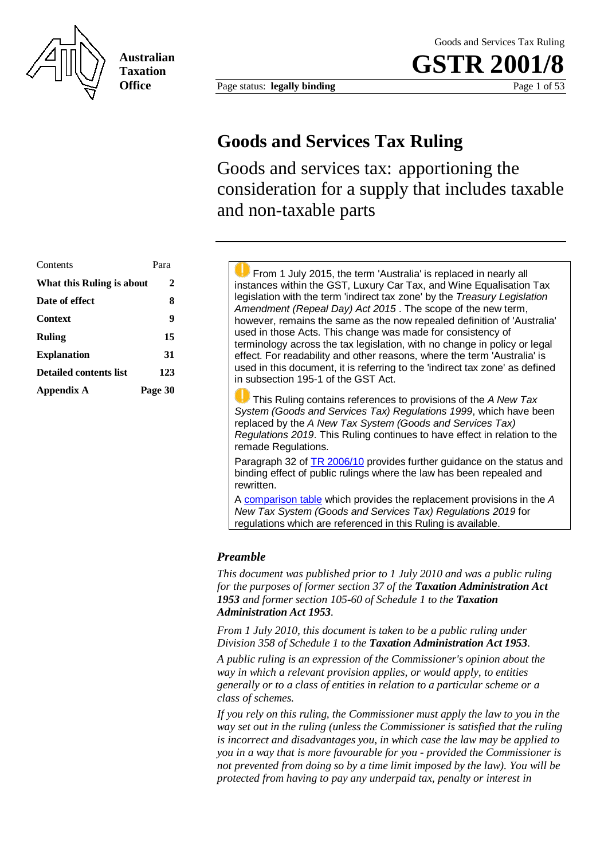

**Australian Taxation Office**

Page status: **legally binding** Page 1 of 53

**GSTR 200** 

### **Goods and Services Tax Ruling**

Goods and services tax: apportioning the consideration for a supply that includes taxable and non-taxable parts

| Contents                  | Para    |  |
|---------------------------|---------|--|
| What this Ruling is about | 2       |  |
| Date of effect            | 8       |  |
| <b>Context</b>            | 9       |  |
| <b>Ruling</b>             | 15      |  |
| <b>Explanation</b>        | 31      |  |
| Detailed contents list    | 123     |  |
| <b>Appendix A</b>         | Page 30 |  |

 From 1 July 2015, the term 'Australia' is replaced in nearly all instances within the GST, Luxury Car Tax, and Wine Equalisation Tax legislation with the term 'indirect tax zone' by the *Treasury Legislation Amendment (Repeal Day) Act 2015* . The scope of the new term, however, remains the same as the now repealed definition of 'Australia' used in those Acts. This change was made for consistency of terminology across the tax legislation, with no change in policy or legal effect. For readability and other reasons, where the term 'Australia' is used in this document, it is referring to the 'indirect tax zone' as defined in subsection 195-1 of the GST Act.

 This Ruling contains references to provisions of the *A New Tax System (Goods and Services Tax) Regulations 1999*, which have been replaced by the *A New Tax System (Goods and Services Tax) Regulations 2019*. This Ruling continues to have effect in relation to the remade Regulations.

Paragraph 32 of **TR 2006/10** provides further guidance on the status and binding effect of public rulings where the law has been repealed and rewritten.

A comparison table which provides the replacement provisions in the *A New Tax System (Goods and Services Tax) Regulations 2019* for regulations which are referenced in this Ruling is available.

#### *Preamble*

*This document was published prior to 1 July 2010 and was a public ruling for the purposes of former section 37 of the Taxation Administration Act 1953 and former section 105-60 of Schedule 1 to the Taxation Administration Act 1953.* 

*From 1 July 2010, this document is taken to be a public ruling under Division 358 of Schedule 1 to the Taxation Administration Act 1953.* 

*A public ruling is an expression of the Commissioner's opinion about the way in which a relevant provision applies, or would apply, to entities generally or to a class of entities in relation to a particular scheme or a class of schemes.* 

*If you rely on this ruling, the Commissioner must apply the law to you in the way set out in the ruling (unless the Commissioner is satisfied that the ruling is incorrect and disadvantages you, in which case the law may be applied to you in a way that is more favourable for you - provided the Commissioner is not prevented from doing so by a time limit imposed by the law). You will be protected from having to pay any underpaid tax, penalty or interest in*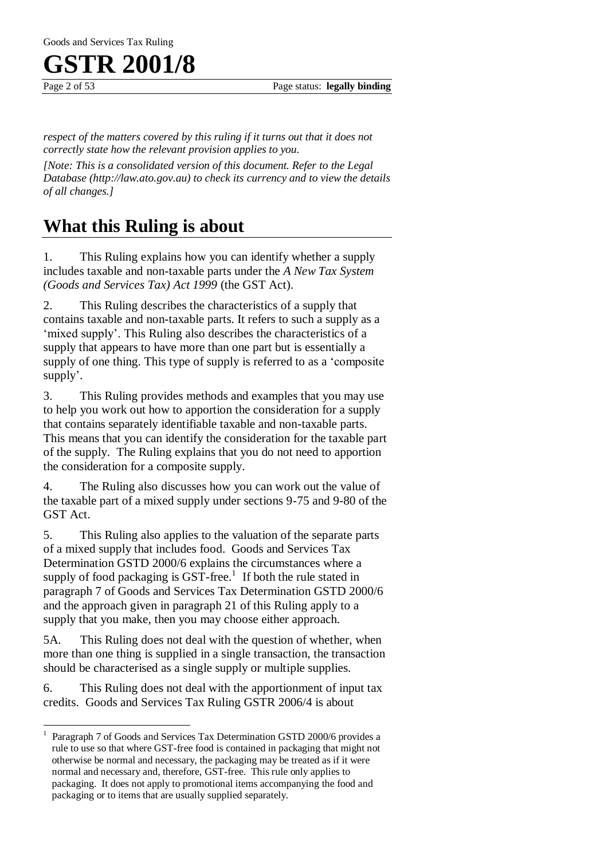Page 2 of 53 Page status: **legally binding**

*respect of the matters covered by this ruling if it turns out that it does not correctly state how the relevant provision applies to you.* 

*[Note: This is a consolidated version of this document. Refer to the Legal Database (http://law.ato.gov.au) to check its currency and to view the details of all changes.]* 

### **What this Ruling is about**

1. This Ruling explains how you can identify whether a supply includes taxable and non-taxable parts under the *A New Tax System (Goods and Services Tax) Act 1999* (the GST Act).

2. This Ruling describes the characteristics of a supply that contains taxable and non-taxable parts. It refers to such a supply as a 'mixed supply'. This Ruling also describes the characteristics of a supply that appears to have more than one part but is essentially a supply of one thing. This type of supply is referred to as a 'composite supply'.

3. This Ruling provides methods and examples that you may use to help you work out how to apportion the consideration for a supply that contains separately identifiable taxable and non-taxable parts. This means that you can identify the consideration for the taxable part of the supply. The Ruling explains that you do not need to apportion the consideration for a composite supply.

4. The Ruling also discusses how you can work out the value of the taxable part of a mixed supply under sections 9-75 and 9-80 of the GST Act.

5. This Ruling also applies to the valuation of the separate parts of a mixed supply that includes food. Goods and Services Tax Determination GSTD 2000/6 explains the circumstances where a supply of food packaging is  $\text{GST-free}$ .<sup>1</sup> If both the rule stated in paragraph 7 of Goods and Services Tax Determination GSTD 2000/6 and the approach given in paragraph 21 of this Ruling apply to a supply that you make, then you may choose either approach.

5A. This Ruling does not deal with the question of whether, when more than one thing is supplied in a single transaction, the transaction should be characterised as a single supply or multiple supplies.

6. This Ruling does not deal with the apportionment of input tax credits. Goods and Services Tax Ruling GSTR 2006/4 is about

 $\overline{a}$ 1 Paragraph 7 of Goods and Services Tax Determination GSTD 2000/6 provides a rule to use so that where GST-free food is contained in packaging that might not otherwise be normal and necessary, the packaging may be treated as if it were normal and necessary and, therefore, GST-free. This rule only applies to packaging. It does not apply to promotional items accompanying the food and packaging or to items that are usually supplied separately.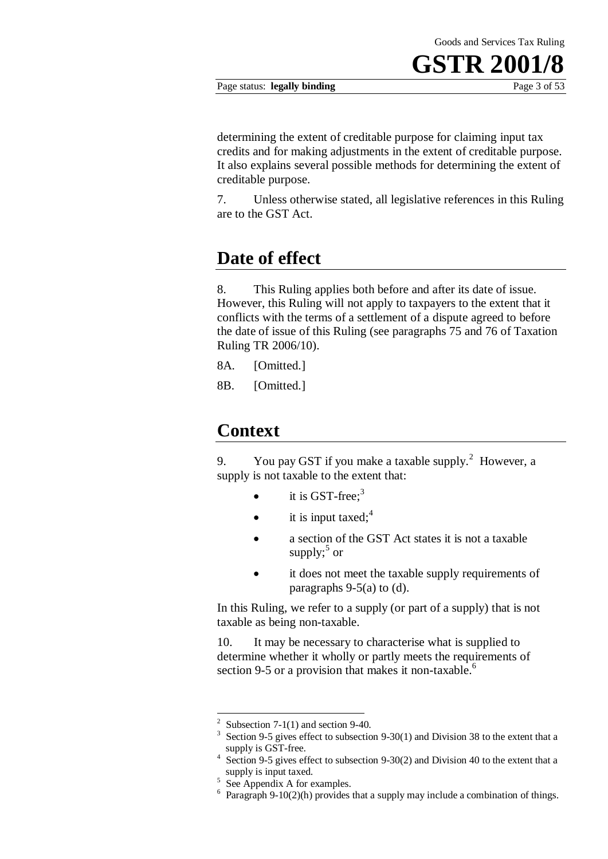#### Page status: **legally binding** Page 3 of 53

determining the extent of creditable purpose for claiming input tax credits and for making adjustments in the extent of creditable purpose. It also explains several possible methods for determining the extent of creditable purpose.

7. Unless otherwise stated, all legislative references in this Ruling are to the GST Act.

### **Date of effect**

8. This Ruling applies both before and after its date of issue. However, this Ruling will not apply to taxpayers to the extent that it conflicts with the terms of a settlement of a dispute agreed to before the date of issue of this Ruling (see paragraphs 75 and 76 of Taxation Ruling TR 2006/10).

- 8A. [Omitted.]
- 8B. [Omitted.]

### **Context**

9. You pay GST if you make a taxable supply.<sup>2</sup> However, a supply is not taxable to the extent that:

- it is GST-free; $3$
- it is input taxed; $4$
- a section of the GST Act states it is not a taxable supply; $5$  or
- it does not meet the taxable supply requirements of paragraphs  $9-5(a)$  to (d).

In this Ruling, we refer to a supply (or part of a supply) that is not taxable as being non-taxable.

10. It may be necessary to characterise what is supplied to determine whether it wholly or partly meets the requirements of section 9-5 or a provision that makes it non-taxable.<sup>6</sup>

1

<sup>2</sup> Subsection 7-1(1) and section 9-40.

<sup>3</sup> Section 9-5 gives effect to subsection 9-30(1) and Division 38 to the extent that a supply is GST-free.

<sup>&</sup>lt;sup>4</sup> Section 9-5 gives effect to subsection 9-30(2) and Division 40 to the extent that a supply is input taxed.

<sup>&</sup>lt;sup>5</sup> See Appendix A for examples.

 $6$  Paragraph 9-10(2)(h) provides that a supply may include a combination of things.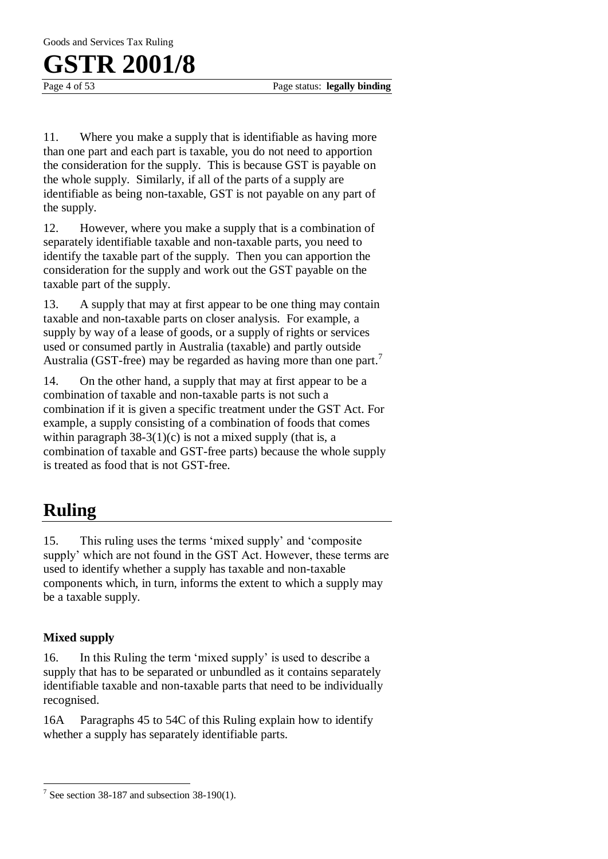### **GSTR 2001/8**

Page 4 of 53 Page status: **legally binding**

11. Where you make a supply that is identifiable as having more than one part and each part is taxable, you do not need to apportion the consideration for the supply. This is because GST is payable on the whole supply. Similarly, if all of the parts of a supply are identifiable as being non-taxable, GST is not payable on any part of the supply.

12. However, where you make a supply that is a combination of separately identifiable taxable and non-taxable parts, you need to identify the taxable part of the supply. Then you can apportion the consideration for the supply and work out the GST payable on the taxable part of the supply.

13. A supply that may at first appear to be one thing may contain taxable and non-taxable parts on closer analysis. For example, a supply by way of a lease of goods, or a supply of rights or services used or consumed partly in Australia (taxable) and partly outside Australia (GST-free) may be regarded as having more than one part.<sup>7</sup>

14. On the other hand, a supply that may at first appear to be a combination of taxable and non-taxable parts is not such a combination if it is given a specific treatment under the GST Act. For example, a supply consisting of a combination of foods that comes within paragraph  $38-3(1)(c)$  is not a mixed supply (that is, a combination of taxable and GST-free parts) because the whole supply is treated as food that is not GST-free.

### **Ruling**

15. This ruling uses the terms 'mixed supply' and 'composite supply' which are not found in the GST Act. However, these terms are used to identify whether a supply has taxable and non-taxable components which, in turn, informs the extent to which a supply may be a taxable supply.

#### **Mixed supply**

16. In this Ruling the term 'mixed supply' is used to describe a supply that has to be separated or unbundled as it contains separately identifiable taxable and non-taxable parts that need to be individually recognised.

16A Paragraphs 45 to 54C of this Ruling explain how to identify whether a supply has separately identifiable parts.

 $\overline{a}$ <sup>7</sup> See section 38-187 and subsection 38-190(1).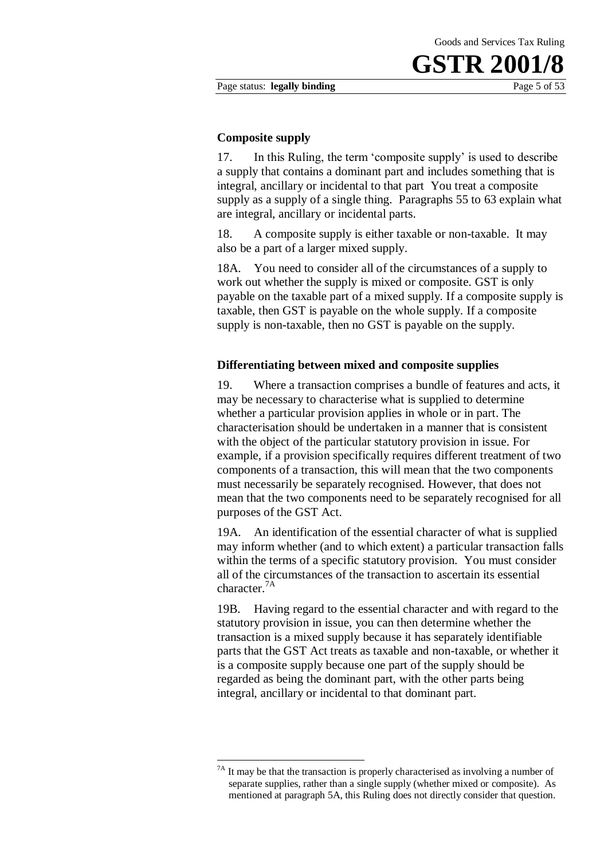#### **Composite supply**

<u>.</u>

17. In this Ruling, the term 'composite supply' is used to describe a supply that contains a dominant part and includes something that is integral, ancillary or incidental to that part You treat a composite supply as a supply of a single thing. Paragraphs 55 to 63 explain what are integral, ancillary or incidental parts.

18. A composite supply is either taxable or non-taxable. It may also be a part of a larger mixed supply.

18A. You need to consider all of the circumstances of a supply to work out whether the supply is mixed or composite. GST is only payable on the taxable part of a mixed supply. If a composite supply is taxable, then GST is payable on the whole supply. If a composite supply is non-taxable, then no GST is payable on the supply.

#### **Differentiating between mixed and composite supplies**

19. Where a transaction comprises a bundle of features and acts, it may be necessary to characterise what is supplied to determine whether a particular provision applies in whole or in part. The characterisation should be undertaken in a manner that is consistent with the object of the particular statutory provision in issue. For example, if a provision specifically requires different treatment of two components of a transaction, this will mean that the two components must necessarily be separately recognised. However, that does not mean that the two components need to be separately recognised for all purposes of the GST Act.

19A. An identification of the essential character of what is supplied may inform whether (and to which extent) a particular transaction falls within the terms of a specific statutory provision. You must consider all of the circumstances of the transaction to ascertain its essential character.7A

19B. Having regard to the essential character and with regard to the statutory provision in issue, you can then determine whether the transaction is a mixed supply because it has separately identifiable parts that the GST Act treats as taxable and non-taxable, or whether it is a composite supply because one part of the supply should be regarded as being the dominant part, with the other parts being integral, ancillary or incidental to that dominant part.

 $7A$  It may be that the transaction is properly characterised as involving a number of separate supplies, rather than a single supply (whether mixed or composite). As mentioned at paragraph 5A, this Ruling does not directly consider that question.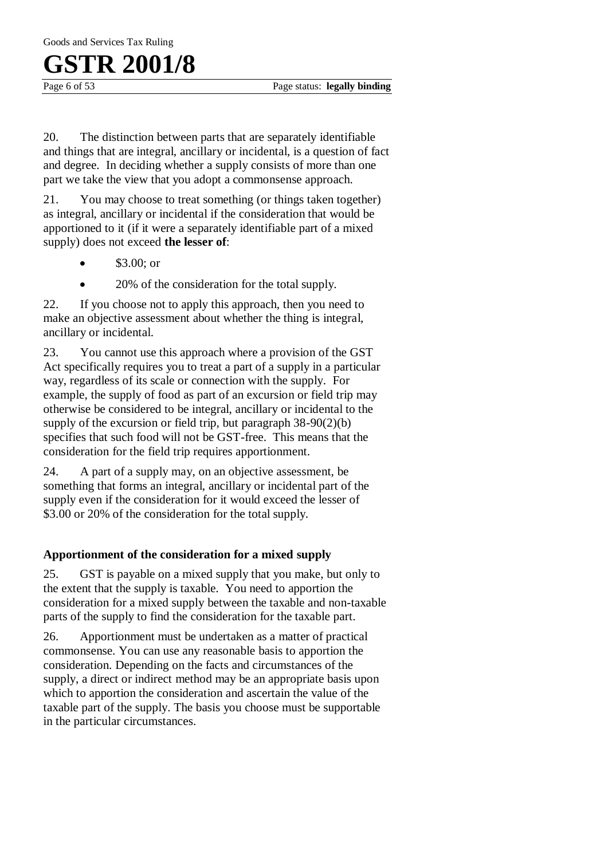20. The distinction between parts that are separately identifiable and things that are integral, ancillary or incidental, is a question of fact and degree. In deciding whether a supply consists of more than one part we take the view that you adopt a commonsense approach.

21. You may choose to treat something (or things taken together) as integral, ancillary or incidental if the consideration that would be apportioned to it (if it were a separately identifiable part of a mixed supply) does not exceed **the lesser of**:

- \$3.00; or
- 20% of the consideration for the total supply.

22. If you choose not to apply this approach, then you need to make an objective assessment about whether the thing is integral, ancillary or incidental.

23. You cannot use this approach where a provision of the GST Act specifically requires you to treat a part of a supply in a particular way, regardless of its scale or connection with the supply. For example, the supply of food as part of an excursion or field trip may otherwise be considered to be integral, ancillary or incidental to the supply of the excursion or field trip, but paragraph 38-90(2)(b) specifies that such food will not be GST-free. This means that the consideration for the field trip requires apportionment.

24. A part of a supply may, on an objective assessment, be something that forms an integral, ancillary or incidental part of the supply even if the consideration for it would exceed the lesser of \$3.00 or 20% of the consideration for the total supply.

#### **Apportionment of the consideration for a mixed supply**

25. GST is payable on a mixed supply that you make, but only to the extent that the supply is taxable. You need to apportion the consideration for a mixed supply between the taxable and non-taxable parts of the supply to find the consideration for the taxable part.

26. Apportionment must be undertaken as a matter of practical commonsense. You can use any reasonable basis to apportion the consideration. Depending on the facts and circumstances of the supply, a direct or indirect method may be an appropriate basis upon which to apportion the consideration and ascertain the value of the taxable part of the supply. The basis you choose must be supportable in the particular circumstances.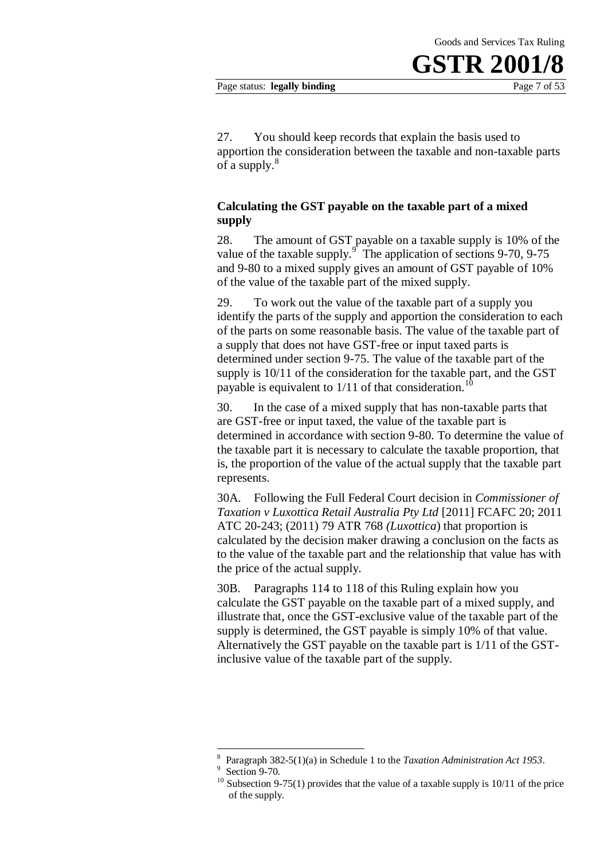#### Page status: **legally binding** Page 7 of 53

27. You should keep records that explain the basis used to apportion the consideration between the taxable and non-taxable parts of a supply.<sup>8</sup>

#### **Calculating the GST payable on the taxable part of a mixed supply**

28. The amount of GST payable on a taxable supply is 10% of the value of the taxable supply.  $\overline{9}$  The application of sections 9-70, 9-75 and 9-80 to a mixed supply gives an amount of GST payable of 10% of the value of the taxable part of the mixed supply.

29. To work out the value of the taxable part of a supply you identify the parts of the supply and apportion the consideration to each of the parts on some reasonable basis. The value of the taxable part of a supply that does not have GST-free or input taxed parts is determined under section 9-75. The value of the taxable part of the supply is 10/11 of the consideration for the taxable part, and the GST payable is equivalent to  $1/11$  of that consideration.<sup>10</sup>

30. In the case of a mixed supply that has non-taxable parts that are GST-free or input taxed, the value of the taxable part is determined in accordance with section 9-80. To determine the value of the taxable part it is necessary to calculate the taxable proportion, that is, the proportion of the value of the actual supply that the taxable part represents.

30A. Following the Full Federal Court decision in *Commissioner of Taxation v Luxottica Retail Australia Pty Ltd* [2011] FCAFC 20; 2011 ATC 20-243; (2011) 79 ATR 768 *(Luxottica*) that proportion is calculated by the decision maker drawing a conclusion on the facts as to the value of the taxable part and the relationship that value has with the price of the actual supply.

30B. Paragraphs 114 to 118 of this Ruling explain how you calculate the GST payable on the taxable part of a mixed supply, and illustrate that, once the GST-exclusive value of the taxable part of the supply is determined, the GST payable is simply 10% of that value. Alternatively the GST payable on the taxable part is 1/11 of the GSTinclusive value of the taxable part of the supply.

<u>.</u>

<sup>8</sup> Paragraph 382-5(1)(a) in Schedule 1 to the *Taxation Administration Act 1953*.

<sup>&</sup>lt;sup>9</sup> Section 9-70.

 $10$  Subsection 9-75(1) provides that the value of a taxable supply is 10/11 of the price of the supply.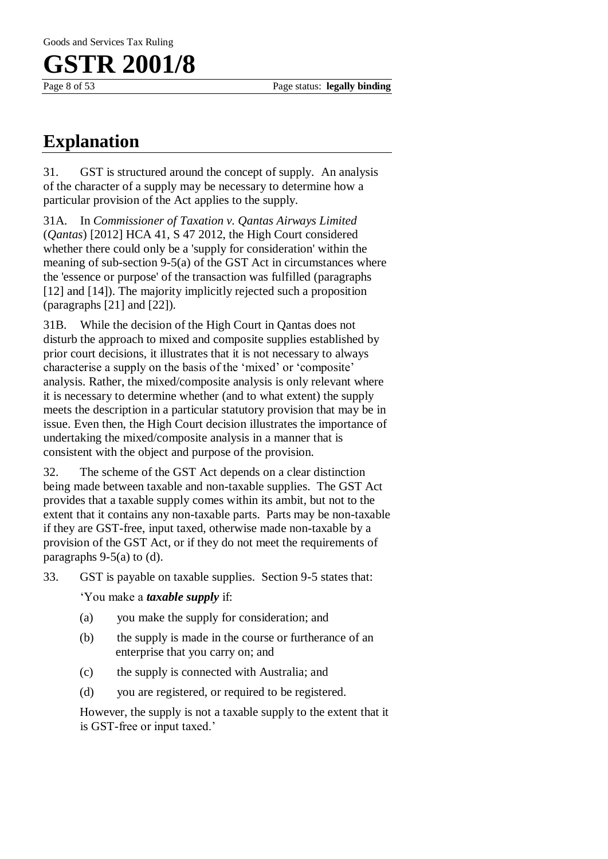Page 8 of 53 Page status: **legally binding**

### **Explanation**

31. GST is structured around the concept of supply. An analysis of the character of a supply may be necessary to determine how a particular provision of the Act applies to the supply.

31A. In *Commissioner of Taxation v. Qantas Airways Limited* (*Qantas*) [2012] HCA 41, S 47 2012, the High Court considered whether there could only be a 'supply for consideration' within the meaning of sub-section 9-5(a) of the GST Act in circumstances where the 'essence or purpose' of the transaction was fulfilled (paragraphs [12] and [14]). The majority implicitly rejected such a proposition (paragraphs [21] and [22]).

31B. While the decision of the High Court in Qantas does not disturb the approach to mixed and composite supplies established by prior court decisions, it illustrates that it is not necessary to always characterise a supply on the basis of the 'mixed' or 'composite' analysis. Rather, the mixed/composite analysis is only relevant where it is necessary to determine whether (and to what extent) the supply meets the description in a particular statutory provision that may be in issue. Even then, the High Court decision illustrates the importance of undertaking the mixed/composite analysis in a manner that is consistent with the object and purpose of the provision.

32. The scheme of the GST Act depends on a clear distinction being made between taxable and non-taxable supplies. The GST Act provides that a taxable supply comes within its ambit, but not to the extent that it contains any non-taxable parts. Parts may be non-taxable if they are GST-free, input taxed, otherwise made non-taxable by a provision of the GST Act, or if they do not meet the requirements of paragraphs  $9-5(a)$  to (d).

33. GST is payable on taxable supplies. Section 9-5 states that:

'You make a *taxable supply* if:

- (a) you make the supply for consideration; and
- (b) the supply is made in the course or furtherance of an enterprise that you carry on; and
- (c) the supply is connected with Australia; and
- (d) you are registered, or required to be registered.

However, the supply is not a taxable supply to the extent that it is GST-free or input taxed.'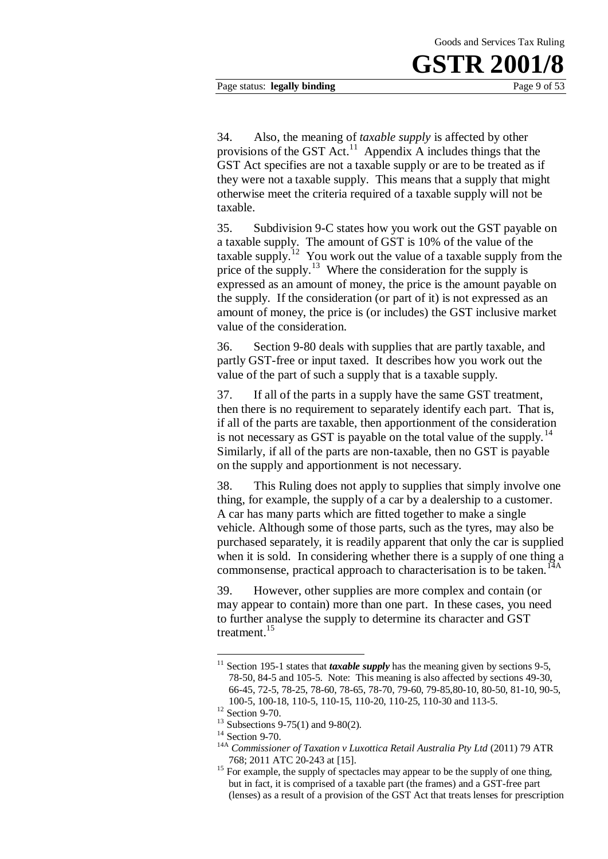34. Also, the meaning of *taxable supply* is affected by other provisions of the GST  $Act.^{11}$  Appendix A includes things that the GST Act specifies are not a taxable supply or are to be treated as if they were not a taxable supply. This means that a supply that might otherwise meet the criteria required of a taxable supply will not be taxable.

35. Subdivision 9-C states how you work out the GST payable on a taxable supply. The amount of GST is 10% of the value of the taxable supply.<sup>12</sup> You work out the value of a taxable supply from the price of the supply.<sup>13</sup> Where the consideration for the supply is expressed as an amount of money, the price is the amount payable on the supply. If the consideration (or part of it) is not expressed as an amount of money, the price is (or includes) the GST inclusive market value of the consideration.

36. Section 9-80 deals with supplies that are partly taxable, and partly GST-free or input taxed. It describes how you work out the value of the part of such a supply that is a taxable supply.

37. If all of the parts in a supply have the same GST treatment, then there is no requirement to separately identify each part. That is, if all of the parts are taxable, then apportionment of the consideration is not necessary as GST is payable on the total value of the supply. $^{14}$ Similarly, if all of the parts are non-taxable, then no GST is payable on the supply and apportionment is not necessary.

38. This Ruling does not apply to supplies that simply involve one thing, for example, the supply of a car by a dealership to a customer. A car has many parts which are fitted together to make a single vehicle. Although some of those parts, such as the tyres, may also be purchased separately, it is readily apparent that only the car is supplied when it is sold. In considering whether there is a supply of one thing a commonsense, practical approach to characterisation is to be taken.<sup>14A</sup>

39. However, other supplies are more complex and contain (or may appear to contain) more than one part. In these cases, you need to further analyse the supply to determine its character and GST treatment.<sup>15</sup>

<sup>&</sup>lt;u>.</u> <sup>11</sup> Section 195-1 states that *taxable supply* has the meaning given by sections 9-5, 78-50, 84-5 and 105-5. Note: This meaning is also affected by sections 49-30, 66-45, 72-5, 78-25, 78-60, 78-65, 78-70, 79-60, 79-85,80-10, 80-50, 81-10, 90-5, 100-5, 100-18, 110-5, 110-15, 110-20, 110-25, 110-30 and 113-5.

<sup>&</sup>lt;sup>12</sup> Section 9-70.

 $13$  Subsections 9-75(1) and 9-80(2).

 $14$  Section 9-70.

<sup>&</sup>lt;sup>14A</sup> Commissioner of Taxation v Luxottica Retail Australia Pty Ltd (2011) 79 ATR 768; 2011 ATC 20-243 at [15].

 $15$  For example, the supply of spectacles may appear to be the supply of one thing, but in fact, it is comprised of a taxable part (the frames) and a GST-free part (lenses) as a result of a provision of the GST Act that treats lenses for prescription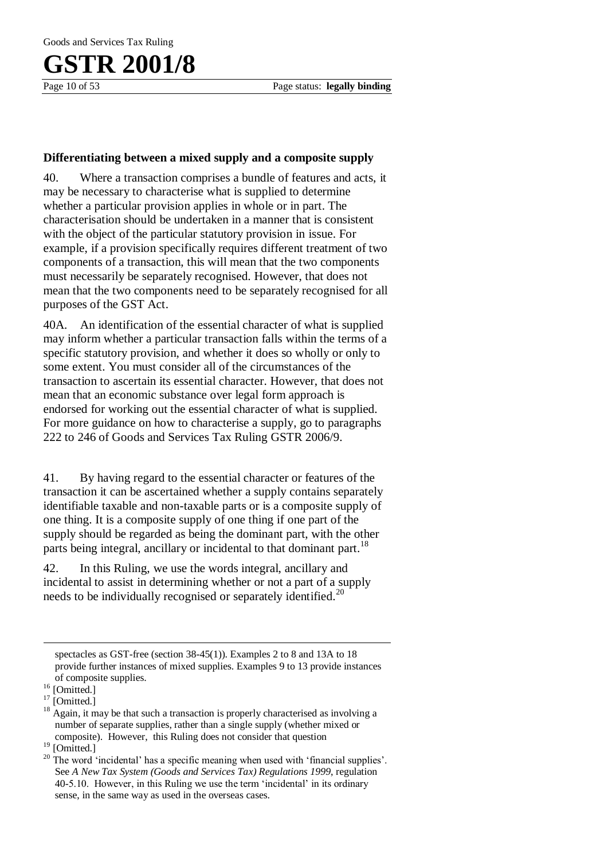#### **Differentiating between a mixed supply and a composite supply**

40. Where a transaction comprises a bundle of features and acts, it may be necessary to characterise what is supplied to determine whether a particular provision applies in whole or in part. The characterisation should be undertaken in a manner that is consistent with the object of the particular statutory provision in issue. For example, if a provision specifically requires different treatment of two components of a transaction, this will mean that the two components must necessarily be separately recognised. However, that does not mean that the two components need to be separately recognised for all purposes of the GST Act.

40A. An identification of the essential character of what is supplied may inform whether a particular transaction falls within the terms of a specific statutory provision, and whether it does so wholly or only to some extent. You must consider all of the circumstances of the transaction to ascertain its essential character. However, that does not mean that an economic substance over legal form approach is endorsed for working out the essential character of what is supplied. For more guidance on how to characterise a supply, go to paragraphs 222 to 246 of Goods and Services Tax Ruling GSTR 2006/9.

41. By having regard to the essential character or features of the transaction it can be ascertained whether a supply contains separately identifiable taxable and non-taxable parts or is a composite supply of one thing. It is a composite supply of one thing if one part of the supply should be regarded as being the dominant part, with the other parts being integral, ancillary or incidental to that dominant part.<sup>18</sup>

42. In this Ruling, we use the words integral, ancillary and incidental to assist in determining whether or not a part of a supply needs to be individually recognised or separately identified.<sup>20</sup>

spectacles as GST-free (section 38-45(1)). Examples 2 to 8 and 13A to 18 provide further instances of mixed supplies. Examples 9 to 13 provide instances of composite supplies.

 $^{16}$  [Omitted.]

 $\overline{a}$ 

 $^{17}$  [Omitted.]

Again, it may be that such a transaction is properly characterised as involving a number of separate supplies, rather than a single supply (whether mixed or composite). However, this Ruling does not consider that question

 $19$  [Omitted.]

<sup>&</sup>lt;sup>20</sup> The word 'incidental' has a specific meaning when used with 'financial supplies'. See *A New Tax System (Goods and Services Tax) Regulations 1999*, regulation 40-5.10. However, in this Ruling we use the term 'incidental' in its ordinary sense, in the same way as used in the overseas cases.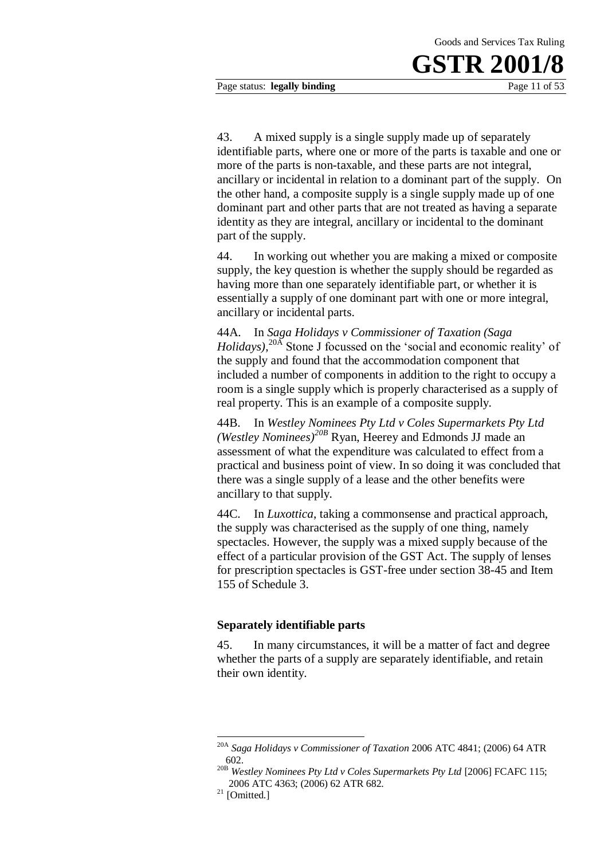Page status: **legally binding** Page 11 of 53

43. A mixed supply is a single supply made up of separately identifiable parts, where one or more of the parts is taxable and one or more of the parts is non-taxable, and these parts are not integral, ancillary or incidental in relation to a dominant part of the supply. On the other hand, a composite supply is a single supply made up of one dominant part and other parts that are not treated as having a separate identity as they are integral, ancillary or incidental to the dominant part of the supply.

44. In working out whether you are making a mixed or composite supply, the key question is whether the supply should be regarded as having more than one separately identifiable part, or whether it is essentially a supply of one dominant part with one or more integral, ancillary or incidental parts.

44A. In *Saga Holidays v Commissioner of Taxation (Saga*  Holidays),<sup>20A</sup> Stone J focussed on the 'social and economic reality' of the supply and found that the accommodation component that included a number of components in addition to the right to occupy a room is a single supply which is properly characterised as a supply of real property. This is an example of a composite supply.

44B. In *Westley Nominees Pty Ltd v Coles Supermarkets Pty Ltd (Westley Nominees)20B* Ryan, Heerey and Edmonds JJ made an assessment of what the expenditure was calculated to effect from a practical and business point of view. In so doing it was concluded that there was a single supply of a lease and the other benefits were ancillary to that supply.

44C. In *Luxottica*, taking a commonsense and practical approach, the supply was characterised as the supply of one thing, namely spectacles. However, the supply was a mixed supply because of the effect of a particular provision of the GST Act. The supply of lenses for prescription spectacles is GST-free under section 38-45 and Item 155 of Schedule 3.

#### **Separately identifiable parts**

45. In many circumstances, it will be a matter of fact and degree whether the parts of a supply are separately identifiable, and retain their own identity.

<u>.</u>

<sup>20</sup>A *Saga Holidays v Commissioner of Taxation* 2006 ATC 4841; (2006) 64 ATR 602.

<sup>20</sup>B *Westley Nominees Pty Ltd v Coles Supermarkets Pty Ltd* [2006] FCAFC 115; 2006 ATC 4363; (2006) 62 ATR 682.

 $21$  [Omitted.]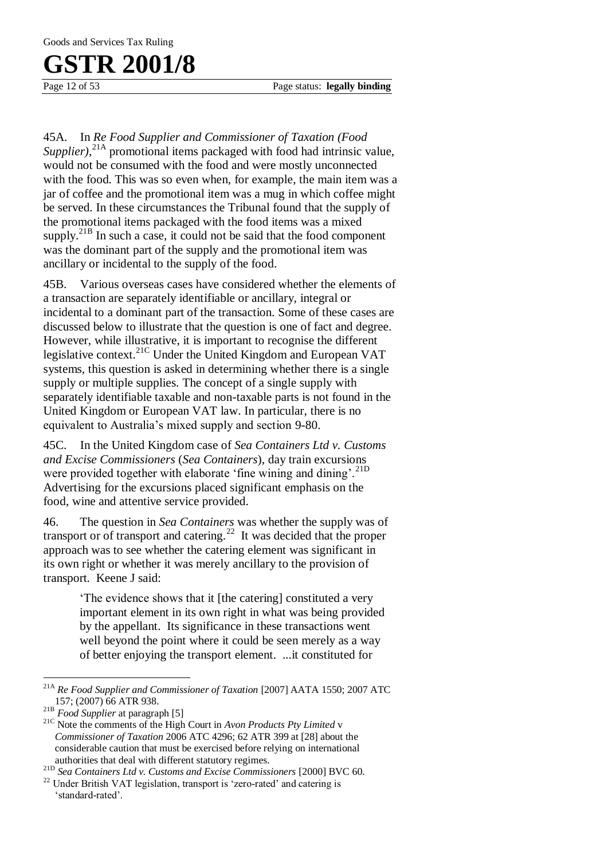### **GSTR 2001/8**

Page 12 of 53 Page status: **legally binding**

45A. In *Re Food Supplier and Commissioner of Taxation (Food Supplier*),<sup>21A</sup> promotional items packaged with food had intrinsic value, would not be consumed with the food and were mostly unconnected with the food. This was so even when, for example, the main item was a jar of coffee and the promotional item was a mug in which coffee might be served. In these circumstances the Tribunal found that the supply of the promotional items packaged with the food items was a mixed supply.<sup>21B</sup> In such a case, it could not be said that the food component was the dominant part of the supply and the promotional item was ancillary or incidental to the supply of the food.

45B. Various overseas cases have considered whether the elements of a transaction are separately identifiable or ancillary, integral or incidental to a dominant part of the transaction. Some of these cases are discussed below to illustrate that the question is one of fact and degree. However, while illustrative, it is important to recognise the different legislative context.21C Under the United Kingdom and European VAT systems, this question is asked in determining whether there is a single supply or multiple supplies. The concept of a single supply with separately identifiable taxable and non-taxable parts is not found in the United Kingdom or European VAT law. In particular, there is no equivalent to Australia's mixed supply and section 9-80.

45C. In the United Kingdom case of *Sea Containers Ltd v. Customs and Excise Commissioners* (*Sea Containers*), day train excursions were provided together with elaborate 'fine wining and dining'.<sup>21D</sup> Advertising for the excursions placed significant emphasis on the food, wine and attentive service provided.

46. The question in *Sea Containers* was whether the supply was of transport or of transport and catering.<sup>22</sup> It was decided that the proper approach was to see whether the catering element was significant in its own right or whether it was merely ancillary to the provision of transport. Keene J said:

> 'The evidence shows that it [the catering] constituted a very important element in its own right in what was being provided by the appellant. Its significance in these transactions went well beyond the point where it could be seen merely as a way of better enjoying the transport element. ...it constituted for

 $\overline{a}$ 21A *Re Food Supplier and Commissioner of Taxation* [2007] AATA 1550; 2007 ATC 157; (2007) 66 ATR 938.

<sup>21</sup>B *Food Supplier* at paragraph [5]

<sup>&</sup>lt;sup>21C</sup> Note the comments of the High Court in *Avon Products Pty Limited* v *Commissioner of Taxation* 2006 ATC 4296; 62 ATR 399 at [28] about the considerable caution that must be exercised before relying on international authorities that deal with different statutory regimes.

<sup>21</sup>D *Sea Containers Ltd v. Customs and Excise Commissioners* [2000] BVC 60.

 $^{22}$  Under British VAT legislation, transport is 'zero-rated' and catering is 'standard-rated'.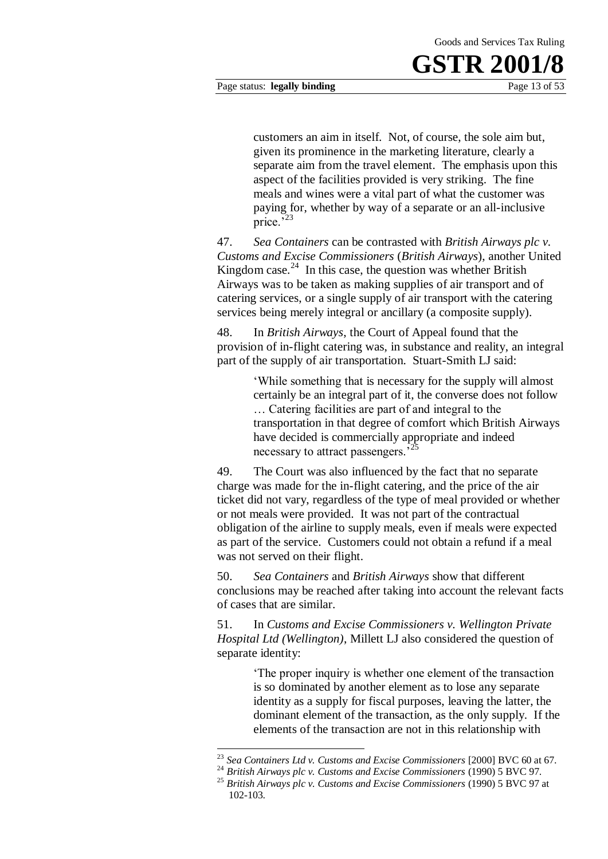Page status: **legally binding** Page 13 of 53

customers an aim in itself. Not, of course, the sole aim but, given its prominence in the marketing literature, clearly a separate aim from the travel element. The emphasis upon this aspect of the facilities provided is very striking. The fine meals and wines were a vital part of what the customer was paying for, whether by way of a separate or an all-inclusive price.'<sup>23</sup>

47. *Sea Containers* can be contrasted with *British Airways plc v. Customs and Excise Commissioners* (*British Airways*), another United Kingdom case.<sup>24</sup> In this case, the question was whether British Airways was to be taken as making supplies of air transport and of catering services, or a single supply of air transport with the catering services being merely integral or ancillary (a composite supply).

48. In *British Airways*, the Court of Appeal found that the provision of in-flight catering was, in substance and reality, an integral part of the supply of air transportation. Stuart-Smith LJ said:

> 'While something that is necessary for the supply will almost certainly be an integral part of it, the converse does not follow … Catering facilities are part of and integral to the transportation in that degree of comfort which British Airways have decided is commercially appropriate and indeed necessary to attract passengers.<sup>22</sup>

49. The Court was also influenced by the fact that no separate charge was made for the in-flight catering, and the price of the air ticket did not vary, regardless of the type of meal provided or whether or not meals were provided. It was not part of the contractual obligation of the airline to supply meals, even if meals were expected as part of the service. Customers could not obtain a refund if a meal was not served on their flight.

50. *Sea Containers* and *British Airways* show that different conclusions may be reached after taking into account the relevant facts of cases that are similar.

51. In *Customs and Excise Commissioners v. Wellington Private Hospital Ltd (Wellington)*, Millett LJ also considered the question of separate identity:

> 'The proper inquiry is whether one element of the transaction is so dominated by another element as to lose any separate identity as a supply for fiscal purposes, leaving the latter, the dominant element of the transaction, as the only supply. If the elements of the transaction are not in this relationship with

<u>.</u>

<sup>&</sup>lt;sup>23</sup> Sea Containers Ltd v. Customs and Excise Commissioners [2000] BVC 60 at 67.

<sup>24</sup> *British Airways plc v. Customs and Excise Commissioners* (1990) 5 BVC 97.

<sup>25</sup> *British Airways plc v. Customs and Excise Commissioners* (1990) 5 BVC 97 at 102-103.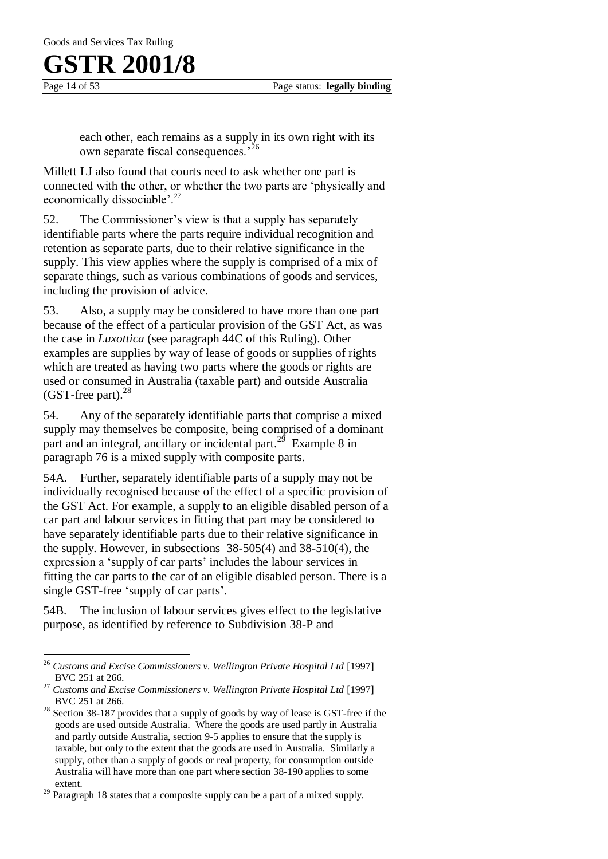Page 14 of 53 Page status: **legally binding**

each other, each remains as a supply in its own right with its own separate fiscal consequences.'<sup>26</sup>

Millett LJ also found that courts need to ask whether one part is connected with the other, or whether the two parts are 'physically and economically dissociable'.<sup>27</sup>

52. The Commissioner's view is that a supply has separately identifiable parts where the parts require individual recognition and retention as separate parts, due to their relative significance in the supply. This view applies where the supply is comprised of a mix of separate things, such as various combinations of goods and services, including the provision of advice.

53. Also, a supply may be considered to have more than one part because of the effect of a particular provision of the GST Act, as was the case in *Luxottica* (see paragraph 44C of this Ruling). Other examples are supplies by way of lease of goods or supplies of rights which are treated as having two parts where the goods or rights are used or consumed in Australia (taxable part) and outside Australia (GST-free part). $^{28}$ 

54. Any of the separately identifiable parts that comprise a mixed supply may themselves be composite, being comprised of a dominant part and an integral, ancillary or incidental part.<sup>29</sup> Example 8 in paragraph 76 is a mixed supply with composite parts.

54A. Further, separately identifiable parts of a supply may not be individually recognised because of the effect of a specific provision of the GST Act. For example, a supply to an eligible disabled person of a car part and labour services in fitting that part may be considered to have separately identifiable parts due to their relative significance in the supply. However, in subsections 38-505(4) and 38-510(4), the expression a 'supply of car parts' includes the labour services in fitting the car parts to the car of an eligible disabled person. There is a single GST-free 'supply of car parts'.

54B. The inclusion of labour services gives effect to the legislative purpose, as identified by reference to Subdivision 38-P and

<sup>26</sup> <sup>26</sup> *Customs and Excise Commissioners v. Wellington Private Hospital Ltd* [1997] BVC 251 at 266.

<sup>&</sup>lt;sup>27</sup> Customs and Excise Commissioners v. Wellington Private Hospital Ltd [1997] BVC 251 at 266.

<sup>&</sup>lt;sup>28</sup> Section 38-187 provides that a supply of goods by way of lease is GST-free if the goods are used outside Australia. Where the goods are used partly in Australia and partly outside Australia, section 9-5 applies to ensure that the supply is taxable, but only to the extent that the goods are used in Australia. Similarly a supply, other than a supply of goods or real property, for consumption outside Australia will have more than one part where section 38-190 applies to some extent.

<sup>&</sup>lt;sup>29</sup> Paragraph 18 states that a composite supply can be a part of a mixed supply.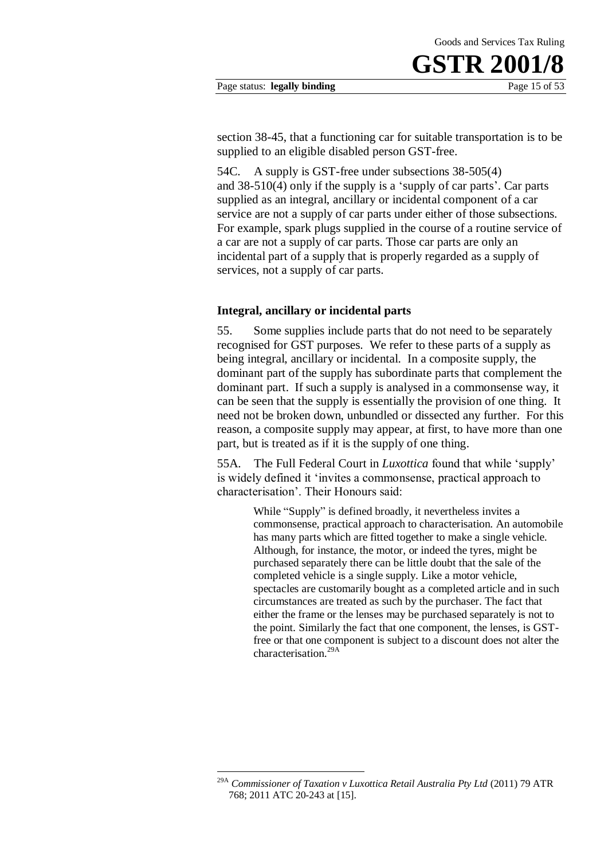Page status: **legally binding** Page 15 of 53

section 38-45, that a functioning car for suitable transportation is to be supplied to an eligible disabled person GST-free.

54C. A supply is GST-free under subsections 38-505(4) and 38-510(4) only if the supply is a 'supply of car parts'. Car parts supplied as an integral, ancillary or incidental component of a car service are not a supply of car parts under either of those subsections. For example, spark plugs supplied in the course of a routine service of a car are not a supply of car parts. Those car parts are only an incidental part of a supply that is properly regarded as a supply of services, not a supply of car parts.

#### **Integral, ancillary or incidental parts**

55. Some supplies include parts that do not need to be separately recognised for GST purposes. We refer to these parts of a supply as being integral, ancillary or incidental. In a composite supply, the dominant part of the supply has subordinate parts that complement the dominant part. If such a supply is analysed in a commonsense way, it can be seen that the supply is essentially the provision of one thing. It need not be broken down, unbundled or dissected any further. For this reason, a composite supply may appear, at first, to have more than one part, but is treated as if it is the supply of one thing.

55A. The Full Federal Court in *Luxottica* found that while 'supply' is widely defined it 'invites a commonsense, practical approach to characterisation'. Their Honours said:

> While "Supply" is defined broadly, it nevertheless invites a commonsense, practical approach to characterisation. An automobile has many parts which are fitted together to make a single vehicle. Although, for instance, the motor, or indeed the tyres, might be purchased separately there can be little doubt that the sale of the completed vehicle is a single supply. Like a motor vehicle, spectacles are customarily bought as a completed article and in such circumstances are treated as such by the purchaser. The fact that either the frame or the lenses may be purchased separately is not to the point. Similarly the fact that one component, the lenses, is GSTfree or that one component is subject to a discount does not alter the characterisation.29A

1

<sup>29</sup>A *Commissioner of Taxation v Luxottica Retail Australia Pty Ltd* (2011) 79 ATR 768; 2011 ATC 20-243 at [15].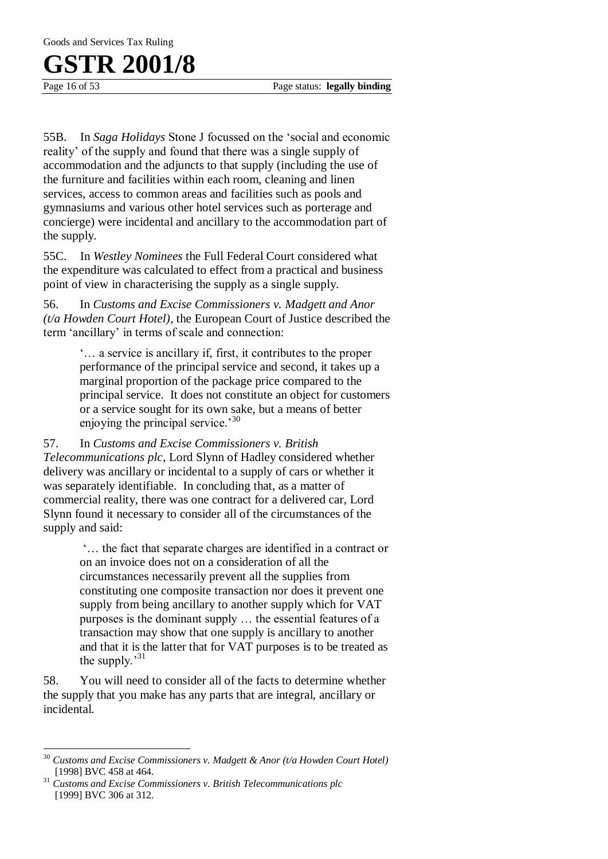### **GSTR 2001/8**

Page 16 of 53 Page status: **legally binding** 

55B. In *Saga Holidays* Stone J focussed on the 'social and economic reality' of the supply and found that there was a single supply of accommodation and the adjuncts to that supply (including the use of the furniture and facilities within each room, cleaning and linen services, access to common areas and facilities such as pools and gymnasiums and various other hotel services such as porterage and concierge) were incidental and ancillary to the accommodation part of the supply.

55C. In *Westley Nominees* the Full Federal Court considered what the expenditure was calculated to effect from a practical and business point of view in characterising the supply as a single supply.

56. In *Customs and Excise Commissioners v. Madgett and Anor (t/a Howden Court Hotel)*, the European Court of Justice described the term 'ancillary' in terms of scale and connection:

> '… a service is ancillary if, first, it contributes to the proper performance of the principal service and second, it takes up a marginal proportion of the package price compared to the principal service. It does not constitute an object for customers or a service sought for its own sake, but a means of better enjoying the principal service.<sup>30</sup>

57. In *Customs and Excise Commissioners v. British Telecommunications plc*, Lord Slynn of Hadley considered whether delivery was ancillary or incidental to a supply of cars or whether it was separately identifiable. In concluding that, as a matter of commercial reality, there was one contract for a delivered car, Lord Slynn found it necessary to consider all of the circumstances of the supply and said:

> '… the fact that separate charges are identified in a contract or on an invoice does not on a consideration of all the circumstances necessarily prevent all the supplies from constituting one composite transaction nor does it prevent one supply from being ancillary to another supply which for VAT purposes is the dominant supply … the essential features of a transaction may show that one supply is ancillary to another and that it is the latter that for VAT purposes is to be treated as the supply.<sup>31</sup>

58. You will need to consider all of the facts to determine whether the supply that you make has any parts that are integral, ancillary or incidental.

 $\overline{a}$ <sup>30</sup> *Customs and Excise Commissioners v. Madgett & Anor (t/a Howden Court Hotel)*  [1998] BVC 458 at 464.

<sup>31</sup> *Customs and Excise Commissioners v. British Telecommunications plc* [1999] BVC 306 at 312.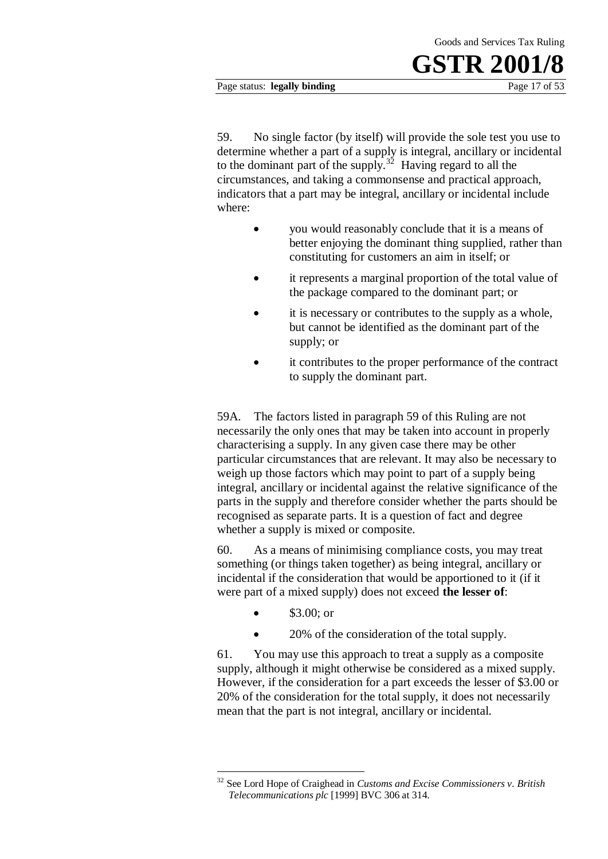#### Page status: **legally binding** Page 17 of 53

59. No single factor (by itself) will provide the sole test you use to determine whether a part of a supply is integral, ancillary or incidental to the dominant part of the supply.<sup>32</sup> Having regard to all the circumstances, and taking a commonsense and practical approach, indicators that a part may be integral, ancillary or incidental include where:

- you would reasonably conclude that it is a means of better enjoying the dominant thing supplied, rather than constituting for customers an aim in itself; or
- it represents a marginal proportion of the total value of the package compared to the dominant part; or
- it is necessary or contributes to the supply as a whole, but cannot be identified as the dominant part of the supply; or
- it contributes to the proper performance of the contract to supply the dominant part.

59A. The factors listed in paragraph 59 of this Ruling are not necessarily the only ones that may be taken into account in properly characterising a supply. In any given case there may be other particular circumstances that are relevant. It may also be necessary to weigh up those factors which may point to part of a supply being integral, ancillary or incidental against the relative significance of the parts in the supply and therefore consider whether the parts should be recognised as separate parts. It is a question of fact and degree whether a supply is mixed or composite.

60. As a means of minimising compliance costs, you may treat something (or things taken together) as being integral, ancillary or incidental if the consideration that would be apportioned to it (if it were part of a mixed supply) does not exceed **the lesser of**:

 $\bullet$  \$3.00; or

1

20% of the consideration of the total supply.

61. You may use this approach to treat a supply as a composite supply, although it might otherwise be considered as a mixed supply. However, if the consideration for a part exceeds the lesser of \$3.00 or 20% of the consideration for the total supply, it does not necessarily mean that the part is not integral, ancillary or incidental.

<sup>32</sup> See Lord Hope of Craighead in *Customs and Excise Commissioners v. British Telecommunications plc* [1999] BVC 306 at 314.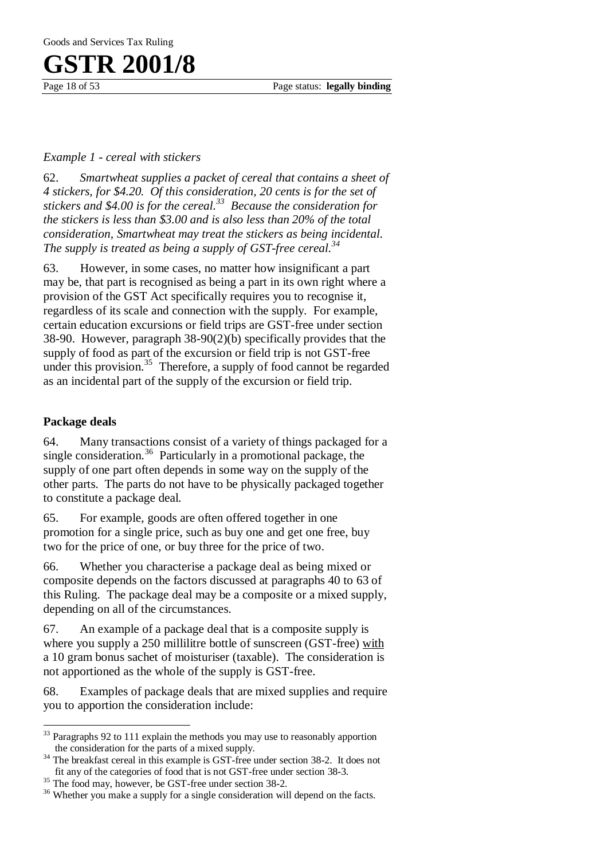#### *Example 1 - cereal with stickers*

62. *Smartwheat supplies a packet of cereal that contains a sheet of 4 stickers, for \$4.20. Of this consideration, 20 cents is for the set of stickers and \$4.00 is for the cereal.<sup>33</sup> Because the consideration for the stickers is less than \$3.00 and is also less than 20% of the total consideration, Smartwheat may treat the stickers as being incidental. The supply is treated as being a supply of GST-free cereal.<sup>34</sup>*

63. However, in some cases, no matter how insignificant a part may be, that part is recognised as being a part in its own right where a provision of the GST Act specifically requires you to recognise it, regardless of its scale and connection with the supply. For example, certain education excursions or field trips are GST-free under section 38-90. However, paragraph 38-90(2)(b) specifically provides that the supply of food as part of the excursion or field trip is not GST-free under this provision.<sup>35</sup> Therefore, a supply of food cannot be regarded as an incidental part of the supply of the excursion or field trip.

#### **Package deals**

64. Many transactions consist of a variety of things packaged for a single consideration.<sup>36</sup> Particularly in a promotional package, the supply of one part often depends in some way on the supply of the other parts. The parts do not have to be physically packaged together to constitute a package deal.

65. For example, goods are often offered together in one promotion for a single price, such as buy one and get one free, buy two for the price of one, or buy three for the price of two.

66. Whether you characterise a package deal as being mixed or composite depends on the factors discussed at paragraphs 40 to 63 of this Ruling. The package deal may be a composite or a mixed supply, depending on all of the circumstances.

67. An example of a package deal that is a composite supply is where you supply a 250 millilitre bottle of sunscreen (GST-free) with a 10 gram bonus sachet of moisturiser (taxable). The consideration is not apportioned as the whole of the supply is GST-free.

68. Examples of package deals that are mixed supplies and require you to apportion the consideration include:

<sup>33</sup> Paragraphs 92 to 111 explain the methods you may use to reasonably apportion the consideration for the parts of a mixed supply.

<sup>&</sup>lt;sup>34</sup> The breakfast cereal in this example is GST-free under section 38-2. It does not fit any of the categories of food that is not GST-free under section 38-3.

<sup>&</sup>lt;sup>35</sup> The food may, however, be GST-free under section 38-2.

<sup>&</sup>lt;sup>36</sup> Whether you make a supply for a single consideration will depend on the facts.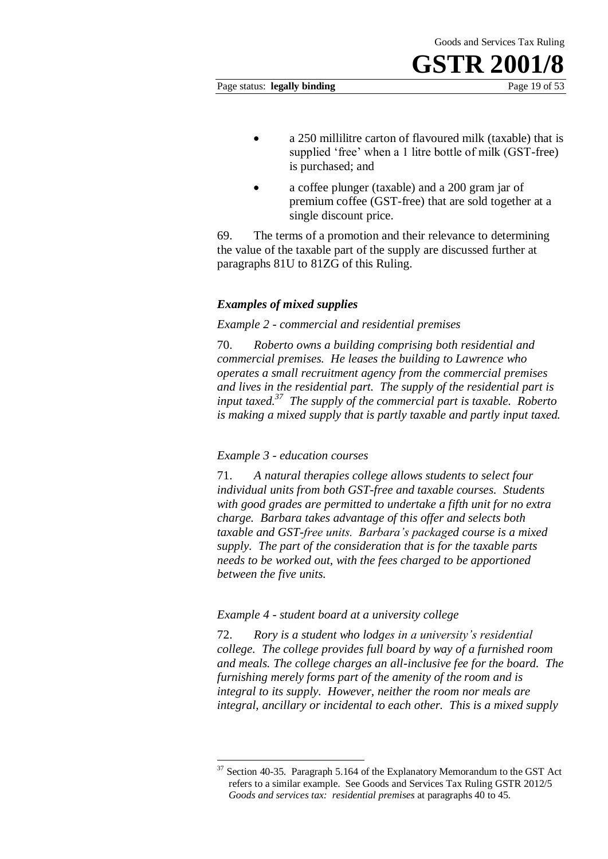Page status: **legally binding** Page 19 of 53

- a 250 millilitre carton of flavoured milk (taxable) that is supplied 'free' when a 1 litre bottle of milk (GST-free)
- a coffee plunger (taxable) and a 200 gram jar of premium coffee (GST-free) that are sold together at a single discount price.

69. The terms of a promotion and their relevance to determining the value of the taxable part of the supply are discussed further at paragraphs 81U to 81ZG of this Ruling.

#### *Examples of mixed supplies*

#### *Example 2 - commercial and residential premises*

is purchased; and

70. *Roberto owns a building comprising both residential and commercial premises. He leases the building to Lawrence who operates a small recruitment agency from the commercial premises and lives in the residential part. The supply of the residential part is input taxed.<sup>37</sup> The supply of the commercial part is taxable. Roberto is making a mixed supply that is partly taxable and partly input taxed.*

#### *Example 3 - education courses*

71. *A natural therapies college allows students to select four individual units from both GST-free and taxable courses. Students with good grades are permitted to undertake a fifth unit for no extra charge. Barbara takes advantage of this offer and selects both taxable and GST-free units. Barbara's packaged course is a mixed supply. The part of the consideration that is for the taxable parts needs to be worked out, with the fees charged to be apportioned between the five units.*

#### *Example 4 - student board at a university college*

72. *Rory is a student who lodges in a university's residential college. The college provides full board by way of a furnished room and meals. The college charges an all-inclusive fee for the board. The furnishing merely forms part of the amenity of the room and is integral to its supply. However, neither the room nor meals are integral, ancillary or incidental to each other. This is a mixed supply* 

<sup>&</sup>lt;u>.</u>  $37$  Section 40-35. Paragraph 5.164 of the Explanatory Memorandum to the GST Act refers to a similar example. See Goods and Services Tax Ruling GSTR 2012/5 *Goods and services tax: residential premises* at paragraphs 40 to 45.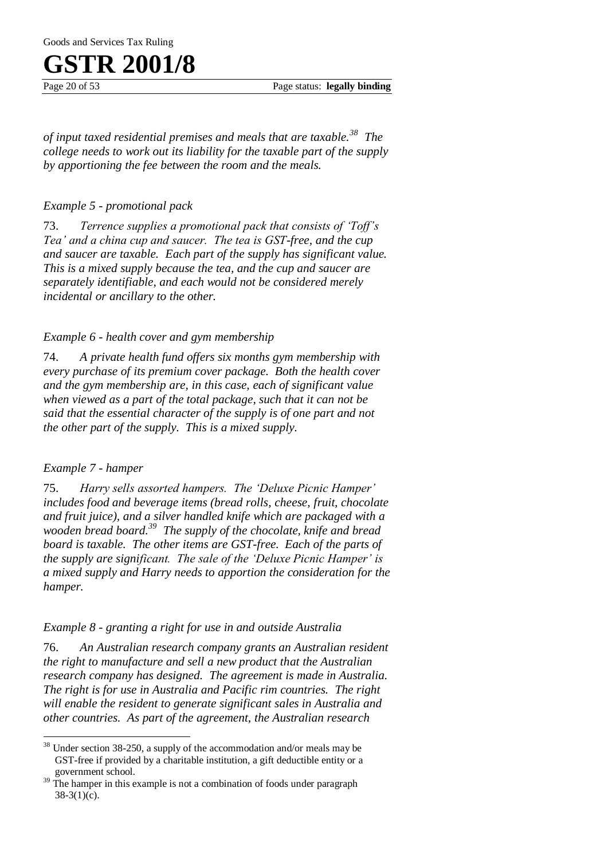*of input taxed residential premises and meals that are taxable.<sup>38</sup> The college needs to work out its liability for the taxable part of the supply by apportioning the fee between the room and the meals.*

#### *Example 5 - promotional pack*

73. *Terrence supplies a promotional pack that consists of 'Toff's Tea' and a china cup and saucer. The tea is GST-free, and the cup and saucer are taxable. Each part of the supply has significant value. This is a mixed supply because the tea, and the cup and saucer are separately identifiable, and each would not be considered merely incidental or ancillary to the other.*

#### *Example 6 - health cover and gym membership*

74. *A private health fund offers six months gym membership with every purchase of its premium cover package. Both the health cover and the gym membership are, in this case, each of significant value when viewed as a part of the total package, such that it can not be said that the essential character of the supply is of one part and not the other part of the supply. This is a mixed supply.*

#### *Example 7 - hamper*

 $\overline{a}$ 

75. *Harry sells assorted hampers. The 'Deluxe Picnic Hamper' includes food and beverage items (bread rolls, cheese, fruit, chocolate and fruit juice), and a silver handled knife which are packaged with a wooden bread board.<sup>39</sup> The supply of the chocolate, knife and bread board is taxable. The other items are GST-free. Each of the parts of the supply are significant. The sale of the 'Deluxe Picnic Hamper' is a mixed supply and Harry needs to apportion the consideration for the hamper.*

#### *Example 8 - granting a right for use in and outside Australia*

76. *An Australian research company grants an Australian resident the right to manufacture and sell a new product that the Australian research company has designed. The agreement is made in Australia. The right is for use in Australia and Pacific rim countries. The right will enable the resident to generate significant sales in Australia and other countries. As part of the agreement, the Australian research* 

<sup>&</sup>lt;sup>38</sup> Under section 38-250, a supply of the accommodation and/or meals may be GST-free if provided by a charitable institution, a gift deductible entity or a government school.

<sup>&</sup>lt;sup>39</sup> The hamper in this example is not a combination of foods under paragraph  $38-3(1)(c)$ .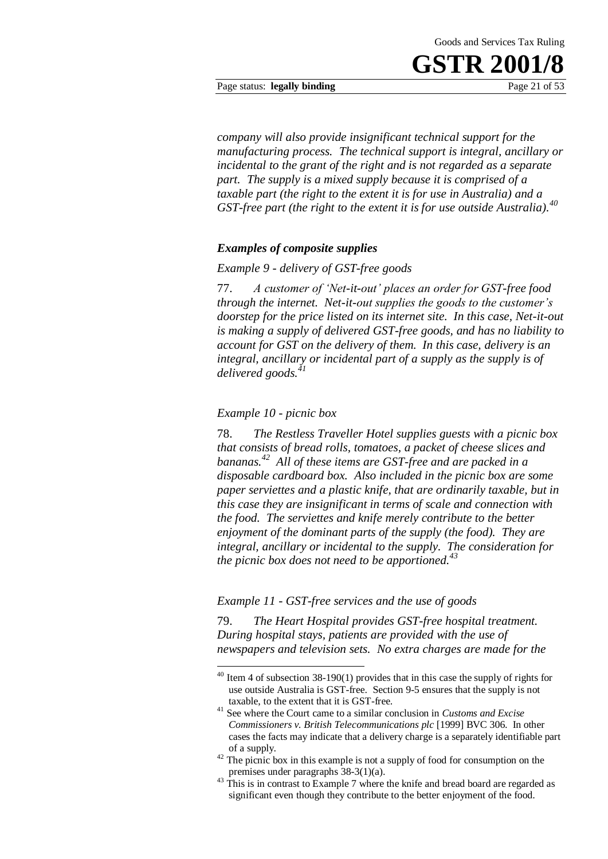Page status: **legally binding** Page 21 of 53

*company will also provide insignificant technical support for the manufacturing process. The technical support is integral, ancillary or incidental to the grant of the right and is not regarded as a separate part. The supply is a mixed supply because it is comprised of a taxable part (the right to the extent it is for use in Australia) and a GST-free part (the right to the extent it is for use outside Australia).<sup>40</sup>*

#### *Examples of composite supplies*

*Example 9 - delivery of GST-free goods* 

77. *A customer of 'Net-it-out' places an order for GST-free food through the internet. Net-it-out supplies the goods to the customer's doorstep for the price listed on its internet site. In this case, Net-it-out is making a supply of delivered GST-free goods, and has no liability to account for GST on the delivery of them. In this case, delivery is an integral, ancillary or incidental part of a supply as the supply is of delivered goods.*<sup>4</sup>

#### *Example 10 - picnic box*

1

78. *The Restless Traveller Hotel supplies guests with a picnic box that consists of bread rolls, tomatoes, a packet of cheese slices and bananas.<sup>42</sup> All of these items are GST-free and are packed in a disposable cardboard box. Also included in the picnic box are some paper serviettes and a plastic knife, that are ordinarily taxable, but in this case they are insignificant in terms of scale and connection with the food. The serviettes and knife merely contribute to the better enjoyment of the dominant parts of the supply (the food). They are integral, ancillary or incidental to the supply. The consideration for the picnic box does not need to be apportioned.<sup>43</sup>*

#### *Example 11 - GST-free services and the use of goods*

79. *The Heart Hospital provides GST-free hospital treatment. During hospital stays, patients are provided with the use of newspapers and television sets. No extra charges are made for the* 

 $40$  Item 4 of subsection 38-190(1) provides that in this case the supply of rights for use outside Australia is GST-free. Section 9-5 ensures that the supply is not taxable, to the extent that it is GST-free.

<sup>41</sup> See where the Court came to a similar conclusion in *Customs and Excise Commissioners v. British Telecommunications plc* [1999] BVC 306. In other cases the facts may indicate that a delivery charge is a separately identifiable part of a supply.

<sup>&</sup>lt;sup>42</sup> The picnic box in this example is not a supply of food for consumption on the premises under paragraphs 38-3(1)(a).

 $43$  This is in contrast to Example 7 where the knife and bread board are regarded as significant even though they contribute to the better enjoyment of the food.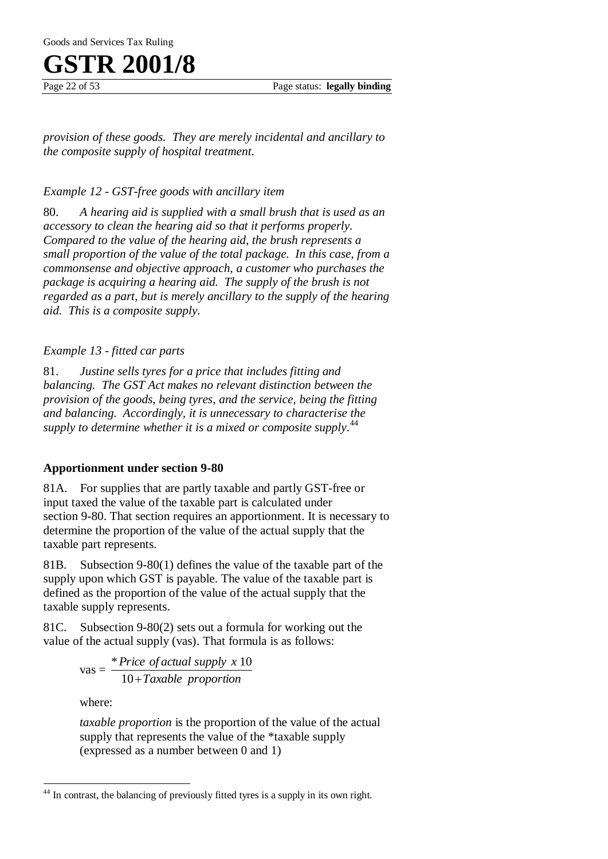*provision of these goods. They are merely incidental and ancillary to the composite supply of hospital treatment.*

#### *Example 12 - GST-free goods with ancillary item*

80. *A hearing aid is supplied with a small brush that is used as an accessory to clean the hearing aid so that it performs properly. Compared to the value of the hearing aid, the brush represents a small proportion of the value of the total package. In this case, from a commonsense and objective approach, a customer who purchases the package is acquiring a hearing aid. The supply of the brush is not regarded as a part, but is merely ancillary to the supply of the hearing aid. This is a composite supply.*

*Example 13 - fitted car parts* 

81. *Justine sells tyres for a price that includes fitting and balancing. The GST Act makes no relevant distinction between the provision of the goods, being tyres, and the service, being the fitting and balancing. Accordingly, it is unnecessary to characterise the supply to determine whether it is a mixed or composite supply.*<sup>44</sup>

#### **Apportionment under section 9-80**

81A. For supplies that are partly taxable and partly GST-free or input taxed the value of the taxable part is calculated under section 9-80. That section requires an apportionment. It is necessary to determine the proportion of the value of the actual supply that the taxable part represents.

81B. Subsection 9-80(1) defines the value of the taxable part of the supply upon which GST is payable. The value of the taxable part is defined as the proportion of the value of the actual supply that the taxable supply represents.

81C. Subsection 9-80(2) sets out a formula for working out the value of the actual supply (vas). That formula is as follows:

$$
vas = \frac{*Price of actual supply x 10}{10+Taxable proportion}
$$

where:

*taxable proportion* is the proportion of the value of the actual supply that represents the value of the \*taxable supply (expressed as a number between 0 and 1)

 $\overline{a}$ <sup>44</sup> In contrast, the balancing of previously fitted tyres is a supply in its own right.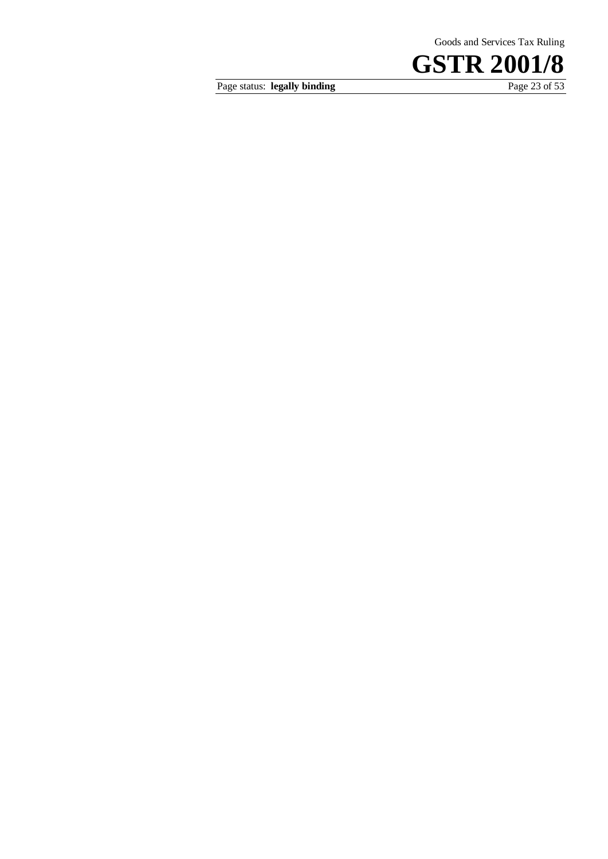

Page status: **legally binding**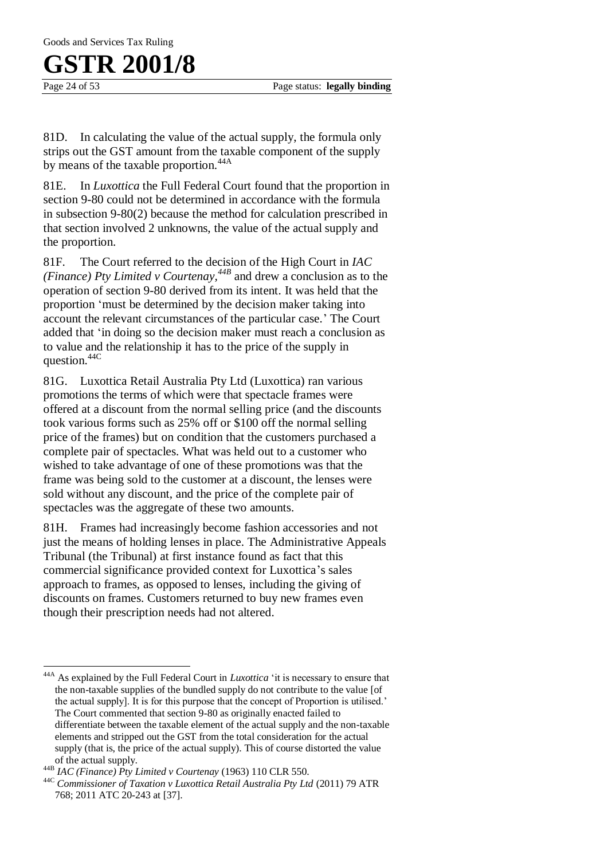$\overline{a}$ 

Page 24 of 53 Page status: **legally binding**

81D. In calculating the value of the actual supply, the formula only strips out the GST amount from the taxable component of the supply by means of the taxable proportion.<sup>44A</sup>

81E. In *Luxottica* the Full Federal Court found that the proportion in section 9-80 could not be determined in accordance with the formula in subsection 9-80(2) because the method for calculation prescribed in that section involved 2 unknowns, the value of the actual supply and the proportion.

81F. The Court referred to the decision of the High Court in *IAC (Finance) Pty Limited v Courtenay,44B* and drew a conclusion as to the operation of section 9-80 derived from its intent. It was held that the proportion 'must be determined by the decision maker taking into account the relevant circumstances of the particular case.' The Court added that 'in doing so the decision maker must reach a conclusion as to value and the relationship it has to the price of the supply in question.44C

81G. Luxottica Retail Australia Pty Ltd (Luxottica) ran various promotions the terms of which were that spectacle frames were offered at a discount from the normal selling price (and the discounts took various forms such as 25% off or \$100 off the normal selling price of the frames) but on condition that the customers purchased a complete pair of spectacles. What was held out to a customer who wished to take advantage of one of these promotions was that the frame was being sold to the customer at a discount, the lenses were sold without any discount, and the price of the complete pair of spectacles was the aggregate of these two amounts.

81H. Frames had increasingly become fashion accessories and not just the means of holding lenses in place. The Administrative Appeals Tribunal (the Tribunal) at first instance found as fact that this commercial significance provided context for Luxottica's sales approach to frames, as opposed to lenses, including the giving of discounts on frames. Customers returned to buy new frames even though their prescription needs had not altered.

<sup>44</sup>A As explained by the Full Federal Court in *Luxottica* 'it is necessary to ensure that the non-taxable supplies of the bundled supply do not contribute to the value [of the actual supply]. It is for this purpose that the concept of Proportion is utilised.' The Court commented that section 9-80 as originally enacted failed to differentiate between the taxable element of the actual supply and the non-taxable elements and stripped out the GST from the total consideration for the actual supply (that is, the price of the actual supply). This of course distorted the value of the actual supply.

<sup>44</sup>B *IAC (Finance) Pty Limited v Courtenay* (1963) 110 CLR 550.

<sup>44</sup>C *Commissioner of Taxation v Luxottica Retail Australia Pty Ltd* (2011) 79 ATR 768; 2011 ATC 20-243 at [37].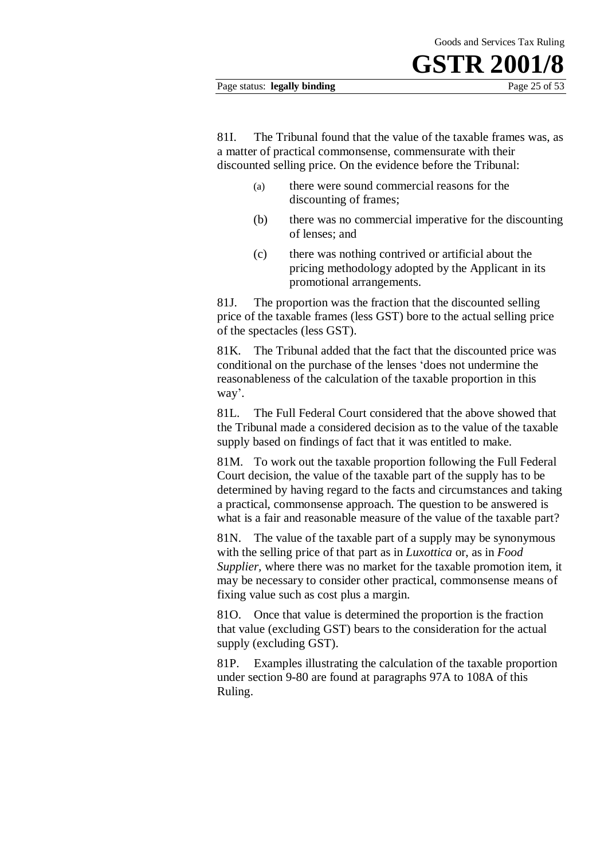#### Page status: **legally binding** Page 25 of 53

81I. The Tribunal found that the value of the taxable frames was, as a matter of practical commonsense, commensurate with their discounted selling price. On the evidence before the Tribunal:

- (a) there were sound commercial reasons for the discounting of frames;
- (b) there was no commercial imperative for the discounting of lenses; and
- (c) there was nothing contrived or artificial about the pricing methodology adopted by the Applicant in its promotional arrangements.

81J. The proportion was the fraction that the discounted selling price of the taxable frames (less GST) bore to the actual selling price of the spectacles (less GST).

81K. The Tribunal added that the fact that the discounted price was conditional on the purchase of the lenses 'does not undermine the reasonableness of the calculation of the taxable proportion in this way'.

81L. The Full Federal Court considered that the above showed that the Tribunal made a considered decision as to the value of the taxable supply based on findings of fact that it was entitled to make.

81M. To work out the taxable proportion following the Full Federal Court decision, the value of the taxable part of the supply has to be determined by having regard to the facts and circumstances and taking a practical, commonsense approach. The question to be answered is what is a fair and reasonable measure of the value of the taxable part?

81N. The value of the taxable part of a supply may be synonymous with the selling price of that part as in *Luxottica* or, as in *Food Supplier,* where there was no market for the taxable promotion item, it may be necessary to consider other practical, commonsense means of fixing value such as cost plus a margin.

81O. Once that value is determined the proportion is the fraction that value (excluding GST) bears to the consideration for the actual supply (excluding GST).

81P. Examples illustrating the calculation of the taxable proportion under section 9-80 are found at paragraphs 97A to 108A of this Ruling.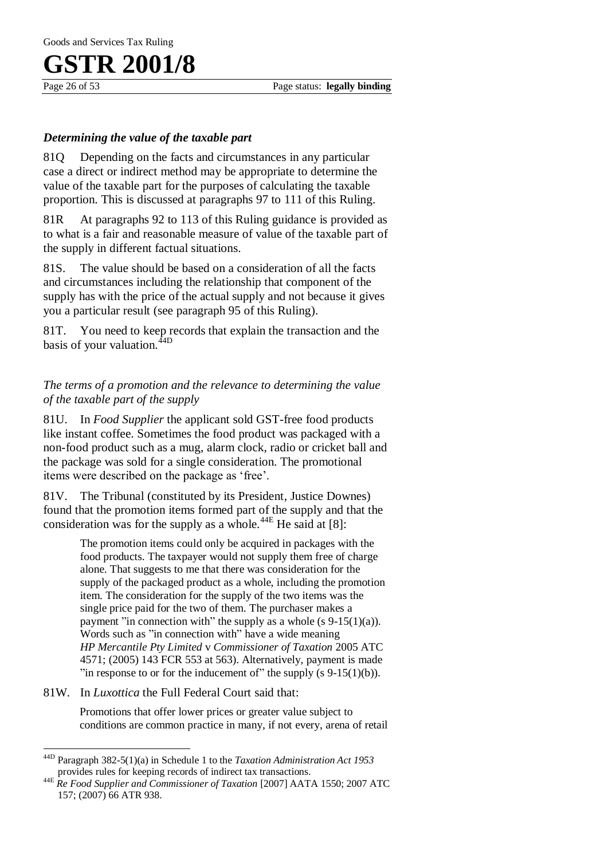#### *Determining the value of the taxable part*

81Q Depending on the facts and circumstances in any particular case a direct or indirect method may be appropriate to determine the value of the taxable part for the purposes of calculating the taxable proportion. This is discussed at paragraphs 97 to 111 of this Ruling.

81R At paragraphs 92 to 113 of this Ruling guidance is provided as to what is a fair and reasonable measure of value of the taxable part of the supply in different factual situations.

81S. The value should be based on a consideration of all the facts and circumstances including the relationship that component of the supply has with the price of the actual supply and not because it gives you a particular result (see paragraph 95 of this Ruling).

81T. You need to keep records that explain the transaction and the basis of your valuation.<sup>44D</sup>

#### *The terms of a promotion and the relevance to determining the value of the taxable part of the supply*

81U. In *Food Supplier* the applicant sold GST-free food products like instant coffee. Sometimes the food product was packaged with a non-food product such as a mug, alarm clock, radio or cricket ball and the package was sold for a single consideration. The promotional items were described on the package as 'free'.

81V. The Tribunal (constituted by its President, Justice Downes) found that the promotion items formed part of the supply and that the consideration was for the supply as a whole.<sup>44E</sup> He said at [8]:

> The promotion items could only be acquired in packages with the food products. The taxpayer would not supply them free of charge alone. That suggests to me that there was consideration for the supply of the packaged product as a whole, including the promotion item. The consideration for the supply of the two items was the single price paid for the two of them. The purchaser makes a payment "in connection with" the supply as a whole (s  $9-15(1)(a)$ ). Words such as "in connection with" have a wide meaning *HP Mercantile Pty Limited* v *Commissioner of Taxation* 2005 ATC 4571; (2005) 143 FCR 553 at 563). Alternatively, payment is made "in response to or for the inducement of" the supply  $(s 9-15(1)(b))$ .

#### 81W. In *Luxottica* the Full Federal Court said that:

 $\overline{a}$ 

Promotions that offer lower prices or greater value subject to conditions are common practice in many, if not every, arena of retail

Paragraph 382-5(1)(a) in Schedule 1 to the *Taxation Administration Act 1953* provides rules for keeping records of indirect tax transactions.

<sup>44</sup>E *Re Food Supplier and Commissioner of Taxation* [2007] AATA 1550; 2007 ATC 157; (2007) 66 ATR 938.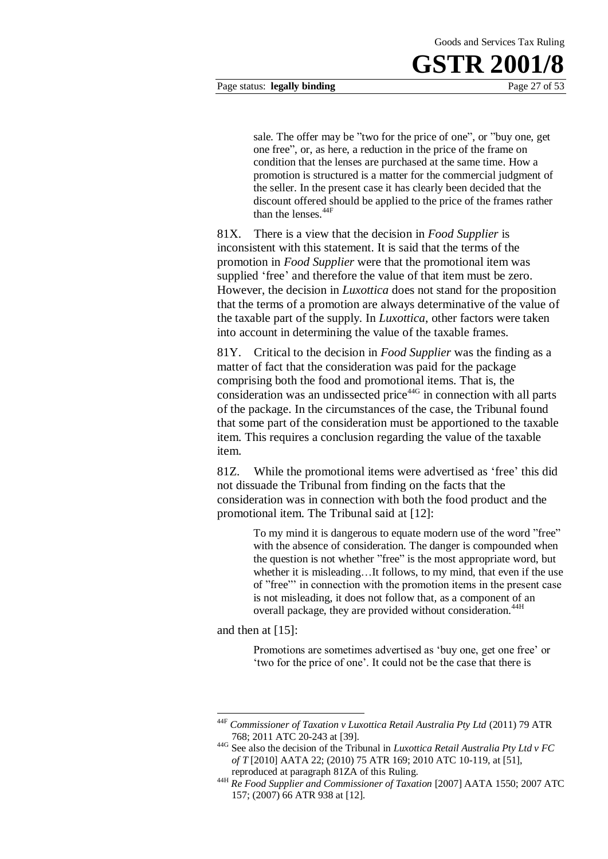

sale. The offer may be "two for the price of one", or "buy one, get one free", or, as here, a reduction in the price of the frame on condition that the lenses are purchased at the same time. How a promotion is structured is a matter for the commercial judgment of the seller. In the present case it has clearly been decided that the discount offered should be applied to the price of the frames rather than the lenses.<sup>44F</sup>

81X. There is a view that the decision in *Food Supplier* is inconsistent with this statement. It is said that the terms of the promotion in *Food Supplier* were that the promotional item was supplied 'free' and therefore the value of that item must be zero. However, the decision in *Luxottica* does not stand for the proposition that the terms of a promotion are always determinative of the value of the taxable part of the supply. In *Luxottica*, other factors were taken into account in determining the value of the taxable frames.

81Y. Critical to the decision in *Food Supplier* was the finding as a matter of fact that the consideration was paid for the package comprising both the food and promotional items. That is, the consideration was an undissected price<sup>44G</sup> in connection with all parts of the package. In the circumstances of the case, the Tribunal found that some part of the consideration must be apportioned to the taxable item. This requires a conclusion regarding the value of the taxable item.

81Z. While the promotional items were advertised as 'free' this did not dissuade the Tribunal from finding on the facts that the consideration was in connection with both the food product and the promotional item. The Tribunal said at [12]:

> To my mind it is dangerous to equate modern use of the word "free" with the absence of consideration. The danger is compounded when the question is not whether "free" is the most appropriate word, but whether it is misleading…It follows, to my mind, that even if the use of "free"' in connection with the promotion items in the present case is not misleading, it does not follow that, as a component of an overall package, they are provided without consideration.<sup>44H</sup>

and then at [15]:

1

Promotions are sometimes advertised as 'buy one, get one free' or 'two for the price of one'. It could not be the case that there is

<sup>44</sup>F *Commissioner of Taxation v Luxottica Retail Australia Pty Ltd* (2011) 79 ATR 768; 2011 ATC 20-243 at [39].

<sup>44</sup>G See also the decision of the Tribunal in *Luxottica Retail Australia Pty Ltd v FC of T* [2010] AATA 22; (2010) 75 ATR 169; 2010 ATC 10-119, at [51], reproduced at paragraph 81ZA of this Ruling.

<sup>44</sup>H *Re Food Supplier and Commissioner of Taxation* [2007] AATA 1550; 2007 ATC 157; (2007) 66 ATR 938 at [12].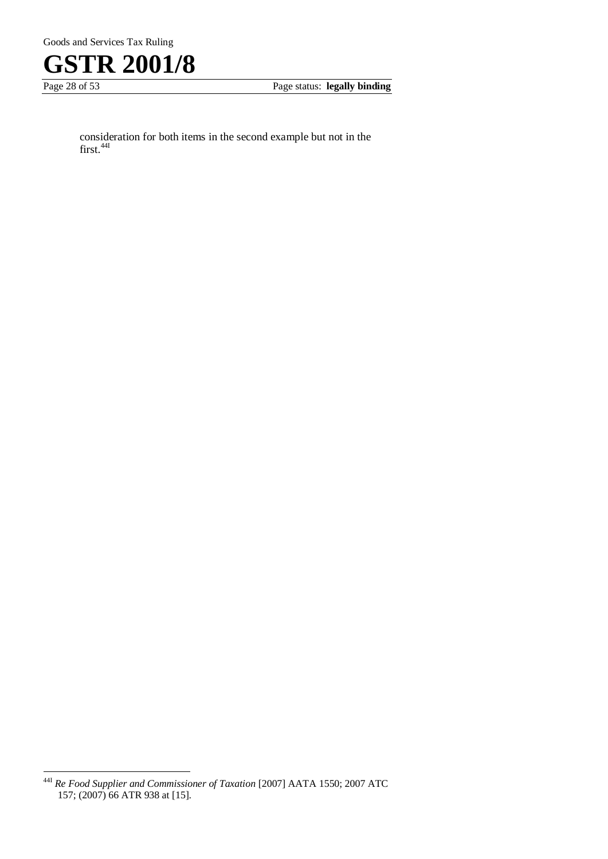

 $\overline{a}$ 

Page status: **legally binding** 

consideration for both items in the second example but not in the  $first.<sup>44I</sup>$ 

<sup>44</sup>I *Re Food Supplier and Commissioner of Taxation* [2007] AATA 1550; 2007 ATC 157; (2007) 66 ATR 938 at [15].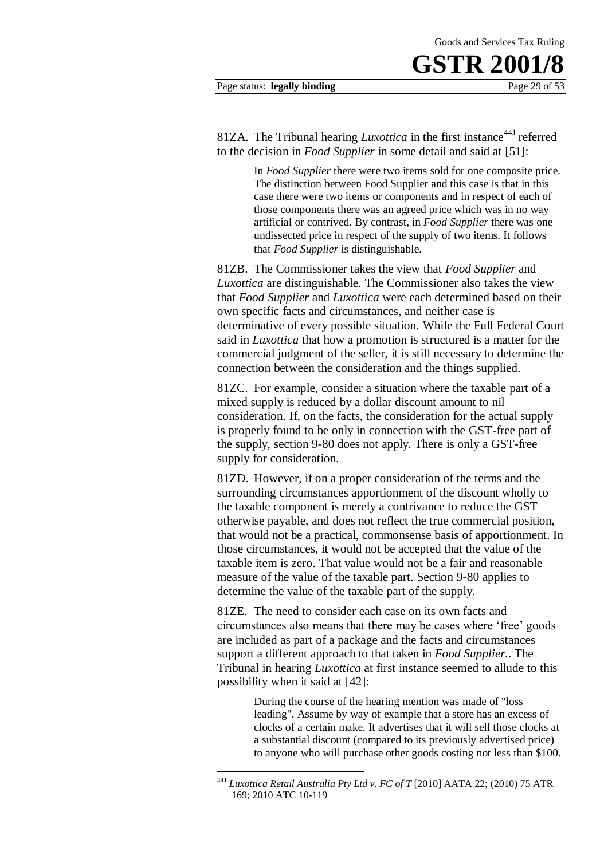#### Page status: **legally binding** Page 29 of 53

81ZA. The Tribunal hearing *Luxottica* in the first instance<sup>44J</sup> referred to the decision in *Food Supplier* in some detail and said at [51]:

> In *Food Supplier* there were two items sold for one composite price. The distinction between Food Supplier and this case is that in this case there were two items or components and in respect of each of those components there was an agreed price which was in no way artificial or contrived. By contrast, in *Food Supplier* there was one undissected price in respect of the supply of two items. It follows that *Food Supplier* is distinguishable.

81ZB. The Commissioner takes the view that *Food Supplier* and *Luxottica* are distinguishable. The Commissioner also takes the view that *Food Supplier* and *Luxottica* were each determined based on their own specific facts and circumstances, and neither case is determinative of every possible situation. While the Full Federal Court said in *Luxottica* that how a promotion is structured is a matter for the commercial judgment of the seller, it is still necessary to determine the connection between the consideration and the things supplied.

81ZC. For example, consider a situation where the taxable part of a mixed supply is reduced by a dollar discount amount to nil consideration. If, on the facts, the consideration for the actual supply is properly found to be only in connection with the GST-free part of the supply, section 9-80 does not apply. There is only a GST-free supply for consideration.

81ZD. However, if on a proper consideration of the terms and the surrounding circumstances apportionment of the discount wholly to the taxable component is merely a contrivance to reduce the GST otherwise payable, and does not reflect the true commercial position, that would not be a practical, commonsense basis of apportionment. In those circumstances, it would not be accepted that the value of the taxable item is zero. That value would not be a fair and reasonable measure of the value of the taxable part. Section 9-80 applies to determine the value of the taxable part of the supply.

81ZE. The need to consider each case on its own facts and circumstances also means that there may be cases where 'free' goods are included as part of a package and the facts and circumstances support a different approach to that taken in *Food Supplier.*. The Tribunal in hearing *Luxottica* at first instance seemed to allude to this possibility when it said at [42]:

> During the course of the hearing mention was made of "loss leading". Assume by way of example that a store has an excess of clocks of a certain make. It advertises that it will sell those clocks at a substantial discount (compared to its previously advertised price) to anyone who will purchase other goods costing not less than \$100.

1

<sup>44</sup>J *Luxottica Retail Australia Pty Ltd v. FC of T* [2010] AATA 22; (2010) 75 ATR 169; 2010 ATC 10-119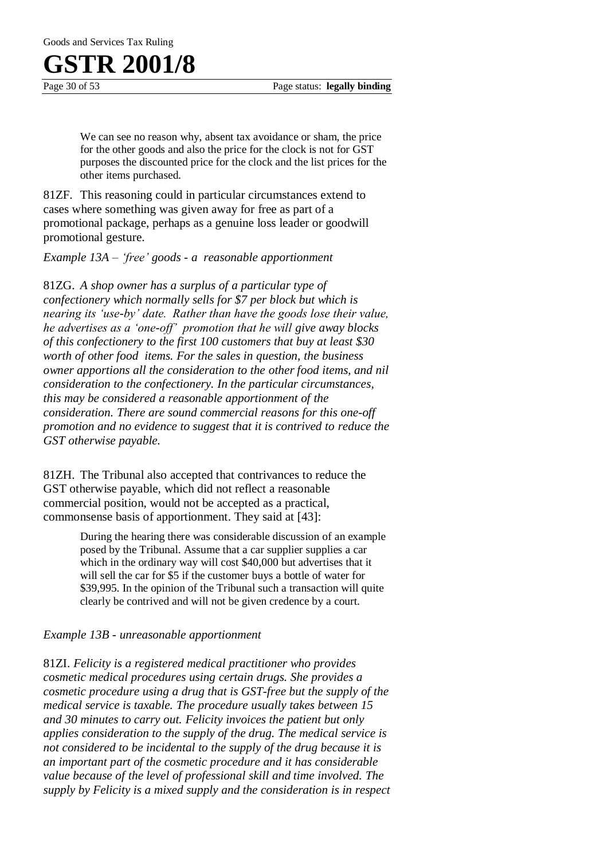### **GSTR 2001/8**

Page 30 of 53 Page status: **legally binding** 

We can see no reason why, absent tax avoidance or sham, the price for the other goods and also the price for the clock is not for GST purposes the discounted price for the clock and the list prices for the other items purchased.

81ZF. This reasoning could in particular circumstances extend to cases where something was given away for free as part of a promotional package, perhaps as a genuine loss leader or goodwill promotional gesture.

*Example 13A – 'free' goods - a reasonable apportionment* 

81ZG. *A shop owner has a surplus of a particular type of confectionery which normally sells for \$7 per block but which is nearing its 'use-by' date. Rather than have the goods lose their value, he advertises as a 'one-off' promotion that he will give away blocks of this confectionery to the first 100 customers that buy at least \$30 worth of other food items. For the sales in question, the business owner apportions all the consideration to the other food items, and nil consideration to the confectionery. In the particular circumstances, this may be considered a reasonable apportionment of the consideration. There are sound commercial reasons for this one-off promotion and no evidence to suggest that it is contrived to reduce the GST otherwise payable.* 

81ZH. The Tribunal also accepted that contrivances to reduce the GST otherwise payable, which did not reflect a reasonable commercial position, would not be accepted as a practical, commonsense basis of apportionment. They said at [43]:

> During the hearing there was considerable discussion of an example posed by the Tribunal. Assume that a car supplier supplies a car which in the ordinary way will cost \$40,000 but advertises that it will sell the car for \$5 if the customer buys a bottle of water for \$39,995. In the opinion of the Tribunal such a transaction will quite clearly be contrived and will not be given credence by a court.

#### *Example 13B - unreasonable apportionment*

81ZI. *Felicity is a registered medical practitioner who provides cosmetic medical procedures using certain drugs. She provides a cosmetic procedure using a drug that is GST-free but the supply of the medical service is taxable. The procedure usually takes between 15 and 30 minutes to carry out. Felicity invoices the patient but only applies consideration to the supply of the drug. The medical service is not considered to be incidental to the supply of the drug because it is an important part of the cosmetic procedure and it has considerable value because of the level of professional skill and time involved. The supply by Felicity is a mixed supply and the consideration is in respect*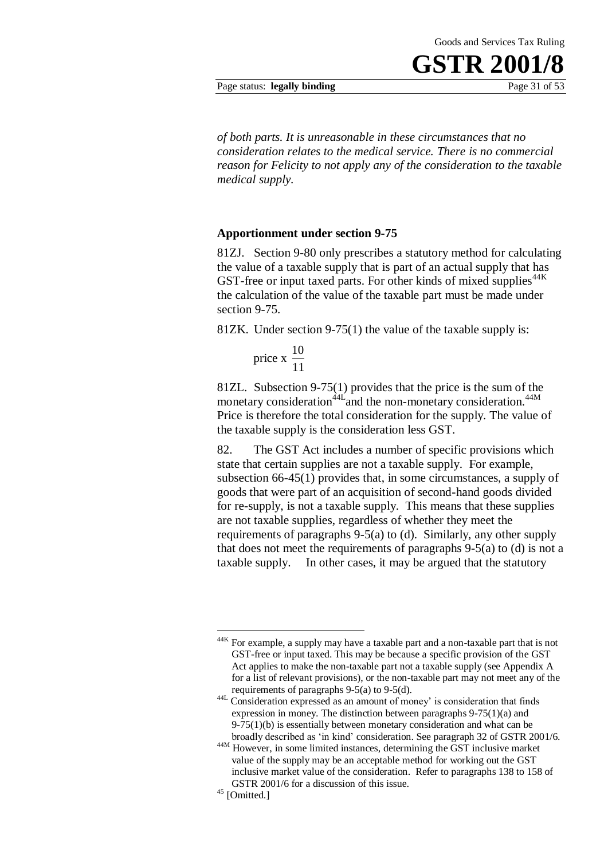Page status: **legally binding** Page 31 of 53

*of both parts. It is unreasonable in these circumstances that no consideration relates to the medical service. There is no commercial reason for Felicity to not apply any of the consideration to the taxable medical supply.* 

#### **Apportionment under section 9-75**

81ZJ. Section 9-80 only prescribes a statutory method for calculating the value of a taxable supply that is part of an actual supply that has GST-free or input taxed parts. For other kinds of mixed supplies<sup>44K</sup> the calculation of the value of the taxable part must be made under section 9-75.

81ZK. Under section 9-75(1) the value of the taxable supply is:

$$
price \times \frac{10}{11}
$$

81ZL. Subsection 9-75(1) provides that the price is the sum of the monetary consideration<sup>44L</sup> and the non-monetary consideration.<sup>44M</sup> Price is therefore the total consideration for the supply. The value of the taxable supply is the consideration less GST.

82. The GST Act includes a number of specific provisions which state that certain supplies are not a taxable supply. For example, subsection 66-45(1) provides that, in some circumstances, a supply of goods that were part of an acquisition of second-hand goods divided for re-supply, is not a taxable supply. This means that these supplies are not taxable supplies, regardless of whether they meet the requirements of paragraphs 9-5(a) to (d). Similarly, any other supply that does not meet the requirements of paragraphs  $9-5(a)$  to (d) is not a taxable supply. In other cases, it may be argued that the statutory

1

 $44K$  For example, a supply may have a taxable part and a non-taxable part that is not GST-free or input taxed. This may be because a specific provision of the GST Act applies to make the non-taxable part not a taxable supply (see Appendix A for a list of relevant provisions), or the non-taxable part may not meet any of the requirements of paragraphs 9-5(a) to 9-5(d).

<sup>&</sup>lt;sup>44L</sup> Consideration expressed as an amount of money' is consideration that finds expression in money. The distinction between paragraphs 9-75(1)(a) and 9-75(1)(b) is essentially between monetary consideration and what can be broadly described as 'in kind' consideration. See paragraph 32 of GSTR 2001/6.

<sup>&</sup>lt;sup>44M</sup> However, in some limited instances, determining the GST inclusive market value of the supply may be an acceptable method for working out the GST inclusive market value of the consideration. Refer to paragraphs 138 to 158 of GSTR 2001/6 for a discussion of this issue.

<sup>&</sup>lt;sup>45</sup> [Omitted.]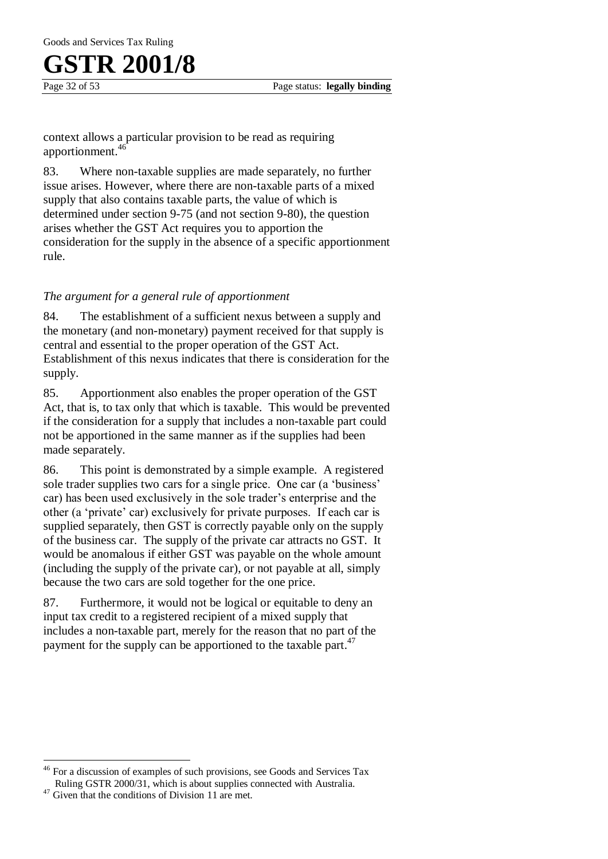context allows a particular provision to be read as requiring apportionment.<sup>46</sup>

83. Where non-taxable supplies are made separately, no further issue arises. However, where there are non-taxable parts of a mixed supply that also contains taxable parts, the value of which is determined under section 9-75 (and not section 9-80), the question arises whether the GST Act requires you to apportion the consideration for the supply in the absence of a specific apportionment rule.

#### *The argument for a general rule of apportionment*

84. The establishment of a sufficient nexus between a supply and the monetary (and non-monetary) payment received for that supply is central and essential to the proper operation of the GST Act. Establishment of this nexus indicates that there is consideration for the supply.

85. Apportionment also enables the proper operation of the GST Act, that is, to tax only that which is taxable. This would be prevented if the consideration for a supply that includes a non-taxable part could not be apportioned in the same manner as if the supplies had been made separately.

86. This point is demonstrated by a simple example. A registered sole trader supplies two cars for a single price. One car (a 'business' car) has been used exclusively in the sole trader's enterprise and the other (a 'private' car) exclusively for private purposes. If each car is supplied separately, then GST is correctly payable only on the supply of the business car. The supply of the private car attracts no GST. It would be anomalous if either GST was payable on the whole amount (including the supply of the private car), or not payable at all, simply because the two cars are sold together for the one price.

87. Furthermore, it would not be logical or equitable to deny an input tax credit to a registered recipient of a mixed supply that includes a non-taxable part, merely for the reason that no part of the payment for the supply can be apportioned to the taxable part.<sup>47</sup>

 $\overline{a}$ <sup>46</sup> For a discussion of examples of such provisions, see Goods and Services Tax Ruling GSTR 2000/31, which is about supplies connected with Australia.

 $47$  Given that the conditions of Division 11 are met.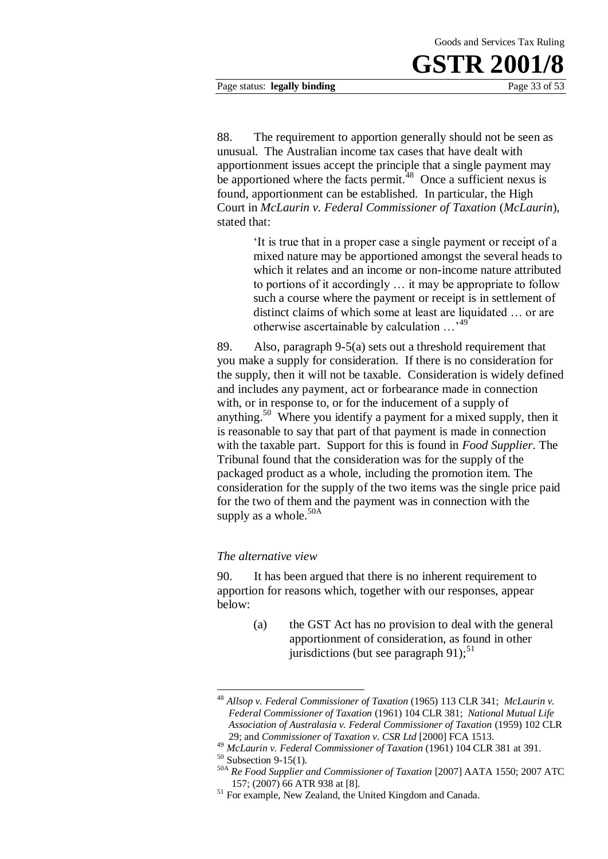Page status: **legally binding** Page 33 of 53

88. The requirement to apportion generally should not be seen as unusual. The Australian income tax cases that have dealt with apportionment issues accept the principle that a single payment may be apportioned where the facts permit.<sup>48</sup> Once a sufficient nexus is found, apportionment can be established. In particular, the High Court in *McLaurin v. Federal Commissioner of Taxation* (*McLaurin*), stated that:

> 'It is true that in a proper case a single payment or receipt of a mixed nature may be apportioned amongst the several heads to which it relates and an income or non-income nature attributed to portions of it accordingly … it may be appropriate to follow such a course where the payment or receipt is in settlement of distinct claims of which some at least are liquidated … or are otherwise ascertainable by calculation …'<sup>49</sup>

89. Also, paragraph 9-5(a) sets out a threshold requirement that you make a supply for consideration. If there is no consideration for the supply, then it will not be taxable. Consideration is widely defined and includes any payment, act or forbearance made in connection with, or in response to, or for the inducement of a supply of anything.<sup>50</sup> Where you identify a payment for a mixed supply, then it is reasonable to say that part of that payment is made in connection with the taxable part. Support for this is found in *Food Supplier*. The Tribunal found that the consideration was for the supply of the packaged product as a whole, including the promotion item. The consideration for the supply of the two items was the single price paid for the two of them and the payment was in connection with the supply as a whole. $50A$ 

#### *The alternative view*

90. It has been argued that there is no inherent requirement to apportion for reasons which, together with our responses, appear below:

> (a) the GST Act has no provision to deal with the general apportionment of consideration, as found in other jurisdictions (but see paragraph 91);<sup>51</sup>

<u>.</u>

<sup>48</sup> *Allsop v. Federal Commissioner of Taxation* (1965) 113 CLR 341; *McLaurin v. Federal Commissioner of Taxation* (1961) 104 CLR 381; *National Mutual Life Association of Australasia v. Federal Commissioner of Taxation* (1959) 102 CLR 29; and *Commissioner of Taxation v. CSR Ltd* [2000] FCA 1513.

<sup>49</sup> *McLaurin v. Federal Commissioner of Taxation* (1961) 104 CLR 381 at 391.

 $50$  Subsection 9-15(1).

<sup>50</sup>A *Re Food Supplier and Commissioner of Taxation* [2007] AATA 1550; 2007 ATC 157; (2007) 66 ATR 938 at [8].

<sup>&</sup>lt;sup>51</sup> For example, New Zealand, the United Kingdom and Canada.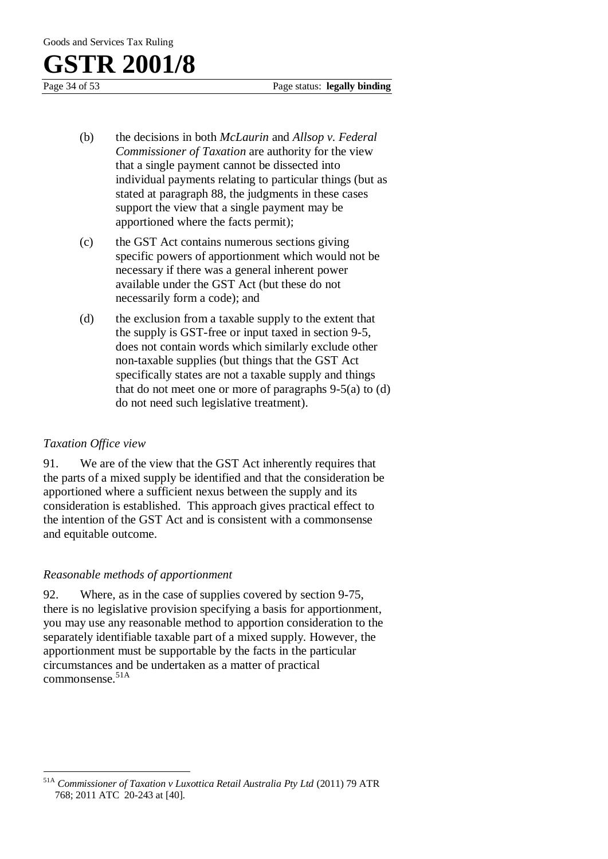- (b) the decisions in both *McLaurin* and *Allsop v. Federal Commissioner of Taxation* are authority for the view that a single payment cannot be dissected into individual payments relating to particular things (but as stated at paragraph 88, the judgments in these cases support the view that a single payment may be apportioned where the facts permit);
- (c) the GST Act contains numerous sections giving specific powers of apportionment which would not be necessary if there was a general inherent power available under the GST Act (but these do not necessarily form a code); and
- (d) the exclusion from a taxable supply to the extent that the supply is GST-free or input taxed in section 9-5, does not contain words which similarly exclude other non-taxable supplies (but things that the GST Act specifically states are not a taxable supply and things that do not meet one or more of paragraphs  $9-5(a)$  to (d) do not need such legislative treatment).

#### *Taxation Office view*

 $\overline{a}$ 

91. We are of the view that the GST Act inherently requires that the parts of a mixed supply be identified and that the consideration be apportioned where a sufficient nexus between the supply and its consideration is established. This approach gives practical effect to the intention of the GST Act and is consistent with a commonsense and equitable outcome.

#### *Reasonable methods of apportionment*

92. Where, as in the case of supplies covered by section 9-75, there is no legislative provision specifying a basis for apportionment, you may use any reasonable method to apportion consideration to the separately identifiable taxable part of a mixed supply. However, the apportionment must be supportable by the facts in the particular circumstances and be undertaken as a matter of practical commonsense.51A

<sup>51</sup>A *Commissioner of Taxation v Luxottica Retail Australia Pty Ltd* (2011) 79 ATR 768; 2011 ATC 20-243 at [40].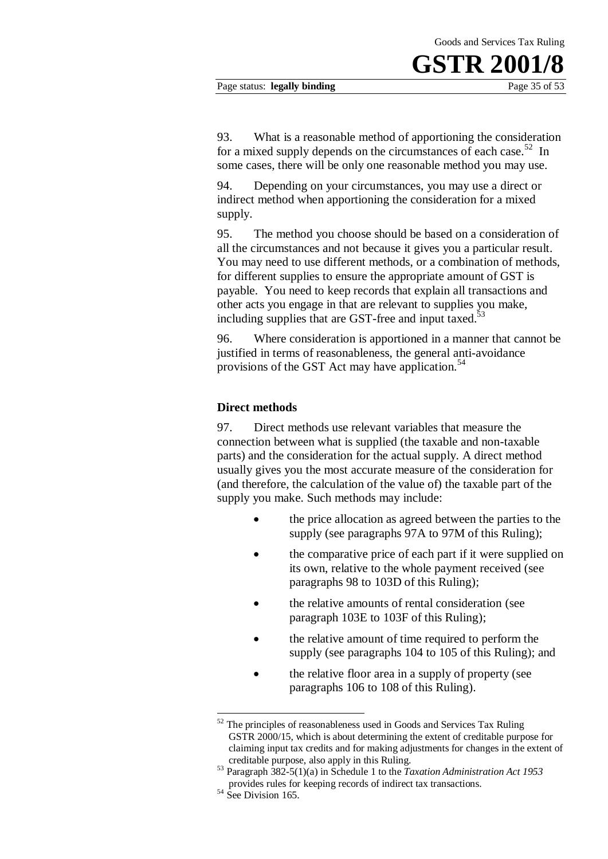#### Page status: **legally binding** Page 35 of 53

93. What is a reasonable method of apportioning the consideration for a mixed supply depends on the circumstances of each case.<sup>52</sup> In some cases, there will be only one reasonable method you may use.

94. Depending on your circumstances, you may use a direct or indirect method when apportioning the consideration for a mixed supply.

95. The method you choose should be based on a consideration of all the circumstances and not because it gives you a particular result. You may need to use different methods, or a combination of methods, for different supplies to ensure the appropriate amount of GST is payable. You need to keep records that explain all transactions and other acts you engage in that are relevant to supplies you make, including supplies that are GST-free and input taxed.<sup>53</sup>

96. Where consideration is apportioned in a manner that cannot be justified in terms of reasonableness, the general anti-avoidance provisions of the GST Act may have application.<sup>54</sup>

#### **Direct methods**

97. Direct methods use relevant variables that measure the connection between what is supplied (the taxable and non-taxable parts) and the consideration for the actual supply. A direct method usually gives you the most accurate measure of the consideration for (and therefore, the calculation of the value of) the taxable part of the supply you make. Such methods may include:

- the price allocation as agreed between the parties to the supply (see paragraphs 97A to 97M of this Ruling);
- the comparative price of each part if it were supplied on its own, relative to the whole payment received (see paragraphs 98 to 103D of this Ruling);
- the relative amounts of rental consideration (see paragraph 103E to 103F of this Ruling);
- the relative amount of time required to perform the supply (see paragraphs 104 to 105 of this Ruling); and
- the relative floor area in a supply of property (see paragraphs 106 to 108 of this Ruling).

1

<sup>&</sup>lt;sup>52</sup> The principles of reasonableness used in Goods and Services Tax Ruling GSTR 2000/15, which is about determining the extent of creditable purpose for claiming input tax credits and for making adjustments for changes in the extent of creditable purpose, also apply in this Ruling.

<sup>53</sup> Paragraph 382-5(1)(a) in Schedule 1 to the *Taxation Administration Act 1953* provides rules for keeping records of indirect tax transactions.

 $54 \text{ See Division} 165.$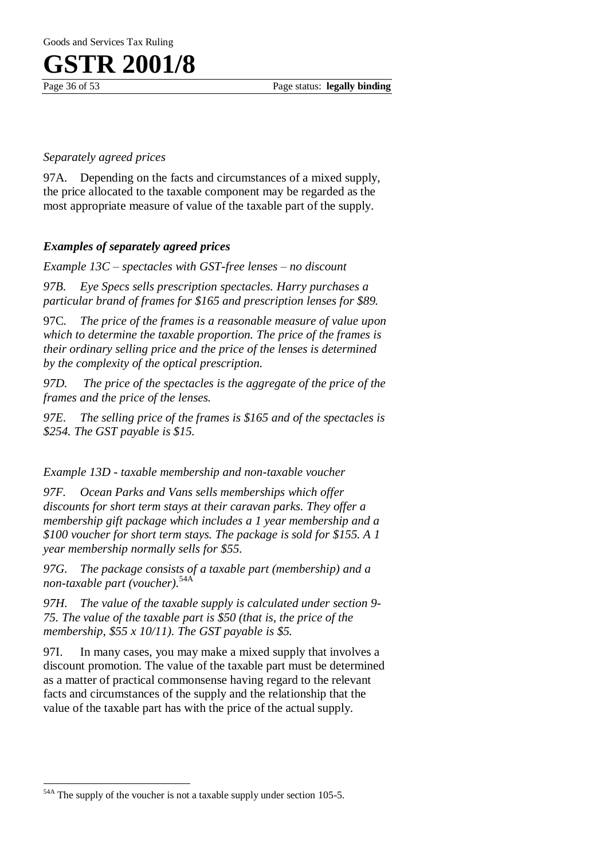

#### *Separately agreed prices*

97A. Depending on the facts and circumstances of a mixed supply, the price allocated to the taxable component may be regarded as the most appropriate measure of value of the taxable part of the supply.

#### *Examples of separately agreed prices*

*Example 13C – spectacles with GST-free lenses – no discount* 

*97B. Eye Specs sells prescription spectacles. Harry purchases a particular brand of frames for \$165 and prescription lenses for \$89.*

97C*. The price of the frames is a reasonable measure of value upon which to determine the taxable proportion. The price of the frames is their ordinary selling price and the price of the lenses is determined by the complexity of the optical prescription.* 

*97D. The price of the spectacles is the aggregate of the price of the frames and the price of the lenses.* 

*97E. The selling price of the frames is \$165 and of the spectacles is \$254. The GST payable is \$15.* 

*Example 13D - taxable membership and non-taxable voucher* 

*97F. Ocean Parks and Vans sells memberships which offer discounts for short term stays at their caravan parks. They offer a membership gift package which includes a 1 year membership and a \$100 voucher for short term stays. The package is sold for \$155. A 1 year membership normally sells for \$55.* 

*97G. The package consists of a taxable part (membership) and a non-taxable part (voucher).*54A

*97H. The value of the taxable supply is calculated under section 9- 75. The value of the taxable part is \$50 (that is, the price of the membership, \$55 x 10/11). The GST payable is \$5.* 

97I. In many cases, you may make a mixed supply that involves a discount promotion. The value of the taxable part must be determined as a matter of practical commonsense having regard to the relevant facts and circumstances of the supply and the relationship that the value of the taxable part has with the price of the actual supply.

 $\overline{a}$ 

<sup>&</sup>lt;sup>54A</sup> The supply of the voucher is not a taxable supply under section 105-5.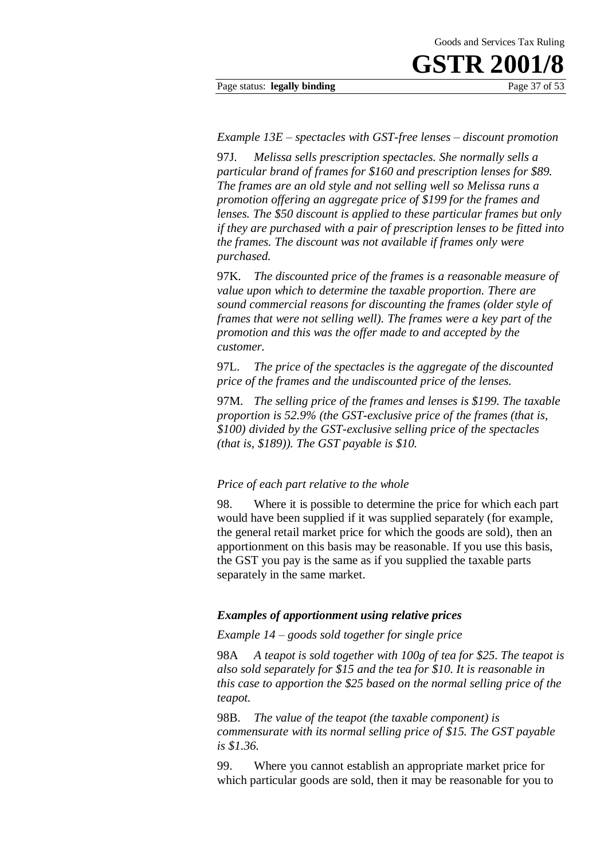#### Page status: **legally binding** Page 37 of 53

#### *Example 13E – spectacles with GST-free lenses – discount promotion*

97J. *Melissa sells prescription spectacles. She normally sells a particular brand of frames for \$160 and prescription lenses for \$89. The frames are an old style and not selling well so Melissa runs a promotion offering an aggregate price of \$199 for the frames and lenses. The \$50 discount is applied to these particular frames but only if they are purchased with a pair of prescription lenses to be fitted into the frames. The discount was not available if frames only were purchased.* 

97K. *The discounted price of the frames is a reasonable measure of value upon which to determine the taxable proportion. There are sound commercial reasons for discounting the frames (older style of frames that were not selling well). The frames were a key part of the promotion and this was the offer made to and accepted by the customer.* 

97L. *The price of the spectacles is the aggregate of the discounted price of the frames and the undiscounted price of the lenses.* 

97M. *The selling price of the frames and lenses is \$199. The taxable proportion is 52.9% (the GST-exclusive price of the frames (that is, \$100) divided by the GST-exclusive selling price of the spectacles (that is, \$189)). The GST payable is \$10.* 

#### *Price of each part relative to the whole*

98. Where it is possible to determine the price for which each part would have been supplied if it was supplied separately (for example, the general retail market price for which the goods are sold), then an apportionment on this basis may be reasonable. If you use this basis, the GST you pay is the same as if you supplied the taxable parts separately in the same market.

#### *Examples of apportionment using relative prices*

*Example 14 – goods sold together for single price* 

98A *A teapot is sold together with 100g of tea for \$25. The teapot is also sold separately for \$15 and the tea for \$10. It is reasonable in this case to apportion the \$25 based on the normal selling price of the teapot.* 

98B. *The value of the teapot (the taxable component) is commensurate with its normal selling price of \$15. The GST payable is \$1.36.* 

99. Where you cannot establish an appropriate market price for which particular goods are sold, then it may be reasonable for you to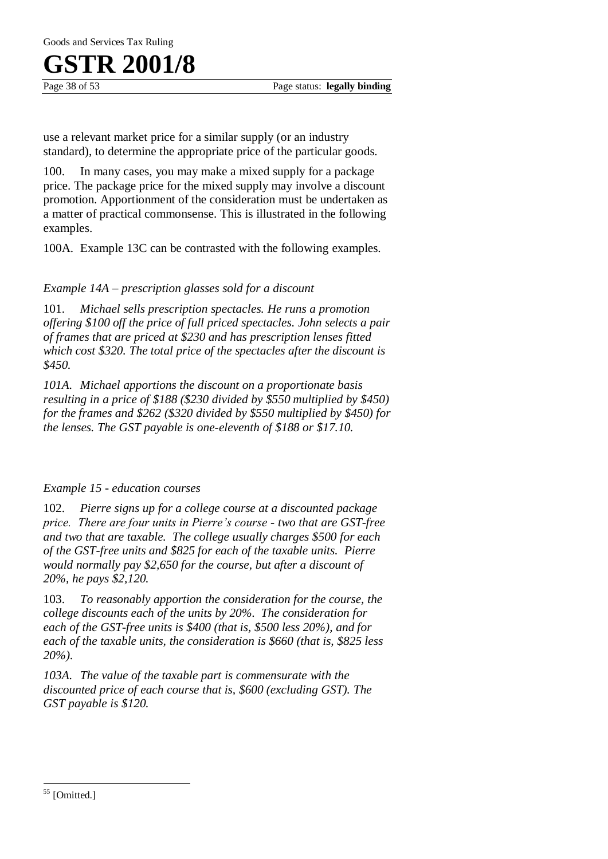

Page 38 of 53 Page status: **legally binding**

use a relevant market price for a similar supply (or an industry standard), to determine the appropriate price of the particular goods.

100. In many cases, you may make a mixed supply for a package price. The package price for the mixed supply may involve a discount promotion. Apportionment of the consideration must be undertaken as a matter of practical commonsense. This is illustrated in the following examples.

100A. Example 13C can be contrasted with the following examples.

*Example 14A – prescription glasses sold for a discount* 

101. *Michael sells prescription spectacles. He runs a promotion offering \$100 off the price of full priced spectacles. John selects a pair of frames that are priced at \$230 and has prescription lenses fitted which cost \$320. The total price of the spectacles after the discount is \$450.*

*101A. Michael apportions the discount on a proportionate basis resulting in a price of \$188 (\$230 divided by \$550 multiplied by \$450) for the frames and \$262 (\$320 divided by \$550 multiplied by \$450) for the lenses. The GST payable is one-eleventh of \$188 or \$17.10.* 

#### *Example 15 - education courses*

102. *Pierre signs up for a college course at a discounted package price. There are four units in Pierre's course - two that are GST-free and two that are taxable. The college usually charges \$500 for each of the GST-free units and \$825 for each of the taxable units. Pierre would normally pay \$2,650 for the course, but after a discount of 20%, he pays \$2,120.*

103. *To reasonably apportion the consideration for the course, the college discounts each of the units by 20%. The consideration for each of the GST-free units is \$400 (that is, \$500 less 20%), and for each of the taxable units, the consideration is \$660 (that is, \$825 less 20%).*

*103A. The value of the taxable part is commensurate with the discounted price of each course that is, \$600 (excluding GST). The GST payable is \$120.* 

 $\overline{a}$ 

<sup>&</sup>lt;sup>55</sup> [Omitted.]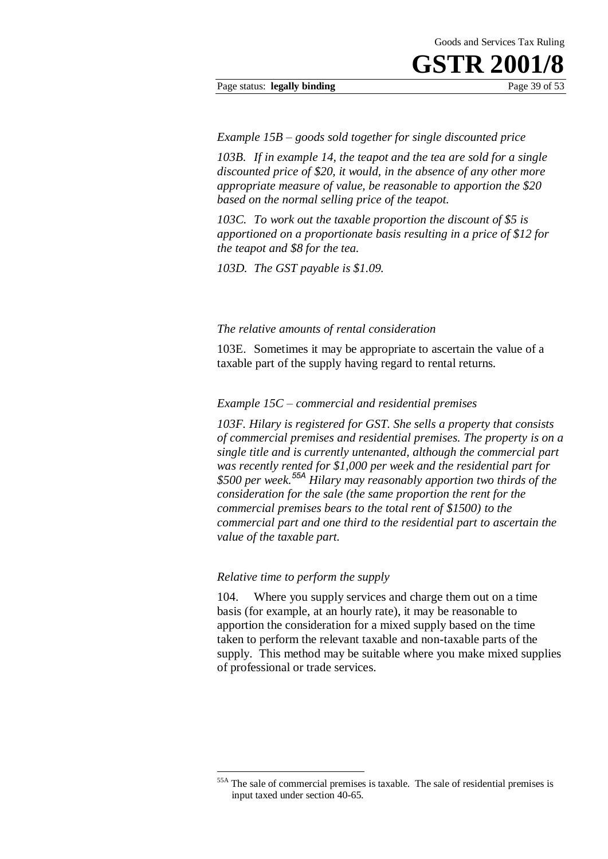Page status: **legally binding** Page 39 of 53

#### *Example 15B – goods sold together for single discounted price*

*103B. If in example 14, the teapot and the tea are sold for a single discounted price of \$20, it would, in the absence of any other more appropriate measure of value, be reasonable to apportion the \$20 based on the normal selling price of the teapot.* 

*103C. To work out the taxable proportion the discount of \$5 is apportioned on a proportionate basis resulting in a price of \$12 for the teapot and \$8 for the tea.* 

*103D. The GST payable is \$1.09.* 

#### *The relative amounts of rental consideration*

103E. Sometimes it may be appropriate to ascertain the value of a taxable part of the supply having regard to rental returns.

#### *Example 15C – commercial and residential premises*

*103F. Hilary is registered for GST. She sells a property that consists of commercial premises and residential premises. The property is on a single title and is currently untenanted, although the commercial part was recently rented for \$1,000 per week and the residential part for \$500 per week.55A Hilary may reasonably apportion two thirds of the consideration for the sale (the same proportion the rent for the commercial premises bears to the total rent of \$1500) to the commercial part and one third to the residential part to ascertain the value of the taxable part.* 

#### *Relative time to perform the supply*

1

104. Where you supply services and charge them out on a time basis (for example, at an hourly rate), it may be reasonable to apportion the consideration for a mixed supply based on the time taken to perform the relevant taxable and non-taxable parts of the supply. This method may be suitable where you make mixed supplies of professional or trade services.

<sup>55</sup>A The sale of commercial premises is taxable. The sale of residential premises is input taxed under section 40-65.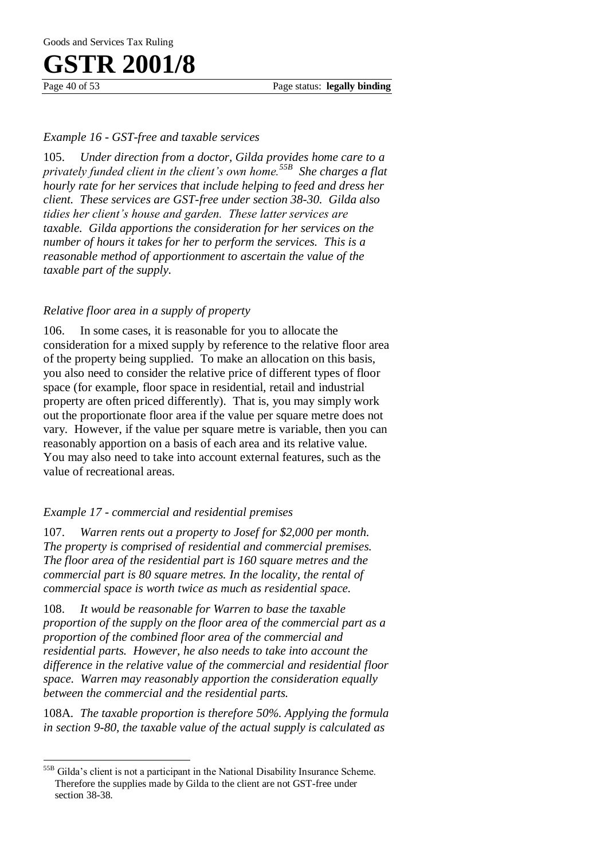$\overline{a}$ 

#### *Example 16 - GST-free and taxable services*

105. *Under direction from a doctor, Gilda provides home care to a privately funded client in the client's own home.55B She charges a flat hourly rate for her services that include helping to feed and dress her client. These services are GST-free under section 38-30. Gilda also tidies her client's house and garden. These latter services are taxable. Gilda apportions the consideration for her services on the number of hours it takes for her to perform the services. This is a reasonable method of apportionment to ascertain the value of the taxable part of the supply.*

#### *Relative floor area in a supply of property*

106. In some cases, it is reasonable for you to allocate the consideration for a mixed supply by reference to the relative floor area of the property being supplied. To make an allocation on this basis, you also need to consider the relative price of different types of floor space (for example, floor space in residential, retail and industrial property are often priced differently). That is, you may simply work out the proportionate floor area if the value per square metre does not vary. However, if the value per square metre is variable, then you can reasonably apportion on a basis of each area and its relative value. You may also need to take into account external features, such as the value of recreational areas.

#### *Example 17 - commercial and residential premises*

107. *Warren rents out a property to Josef for \$2,000 per month. The property is comprised of residential and commercial premises. The floor area of the residential part is 160 square metres and the commercial part is 80 square metres. In the locality, the rental of commercial space is worth twice as much as residential space.*

108. *It would be reasonable for Warren to base the taxable proportion of the supply on the floor area of the commercial part as a proportion of the combined floor area of the commercial and residential parts. However, he also needs to take into account the difference in the relative value of the commercial and residential floor space. Warren may reasonably apportion the consideration equally between the commercial and the residential parts.*

108A. *The taxable proportion is therefore 50%. Applying the formula in section 9-80, the taxable value of the actual supply is calculated as* 

<sup>55</sup>B Gilda's client is not a participant in the National Disability Insurance Scheme. Therefore the supplies made by Gilda to the client are not GST-free under section 38-38.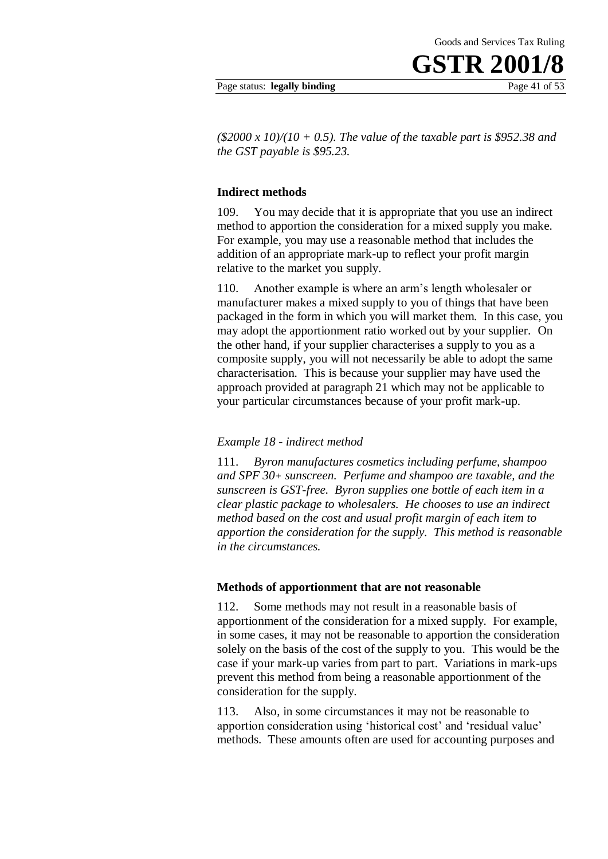Page status: **legally binding** Page 41 of 53

*(\$2000 x 10)/(10 + 0.5). The value of the taxable part is \$952.38 and the GST payable is \$95.23.* 

#### **Indirect methods**

109. You may decide that it is appropriate that you use an indirect method to apportion the consideration for a mixed supply you make. For example, you may use a reasonable method that includes the addition of an appropriate mark-up to reflect your profit margin relative to the market you supply.

110. Another example is where an arm's length wholesaler or manufacturer makes a mixed supply to you of things that have been packaged in the form in which you will market them. In this case, you may adopt the apportionment ratio worked out by your supplier. On the other hand, if your supplier characterises a supply to you as a composite supply, you will not necessarily be able to adopt the same characterisation. This is because your supplier may have used the approach provided at paragraph 21 which may not be applicable to your particular circumstances because of your profit mark-up.

#### *Example 18 - indirect method*

111. *Byron manufactures cosmetics including perfume, shampoo and SPF 30+ sunscreen. Perfume and shampoo are taxable, and the sunscreen is GST-free. Byron supplies one bottle of each item in a clear plastic package to wholesalers. He chooses to use an indirect method based on the cost and usual profit margin of each item to apportion the consideration for the supply. This method is reasonable in the circumstances.*

#### **Methods of apportionment that are not reasonable**

112. Some methods may not result in a reasonable basis of apportionment of the consideration for a mixed supply. For example, in some cases, it may not be reasonable to apportion the consideration solely on the basis of the cost of the supply to you. This would be the case if your mark-up varies from part to part. Variations in mark-ups prevent this method from being a reasonable apportionment of the consideration for the supply.

113. Also, in some circumstances it may not be reasonable to apportion consideration using 'historical cost' and 'residual value' methods. These amounts often are used for accounting purposes and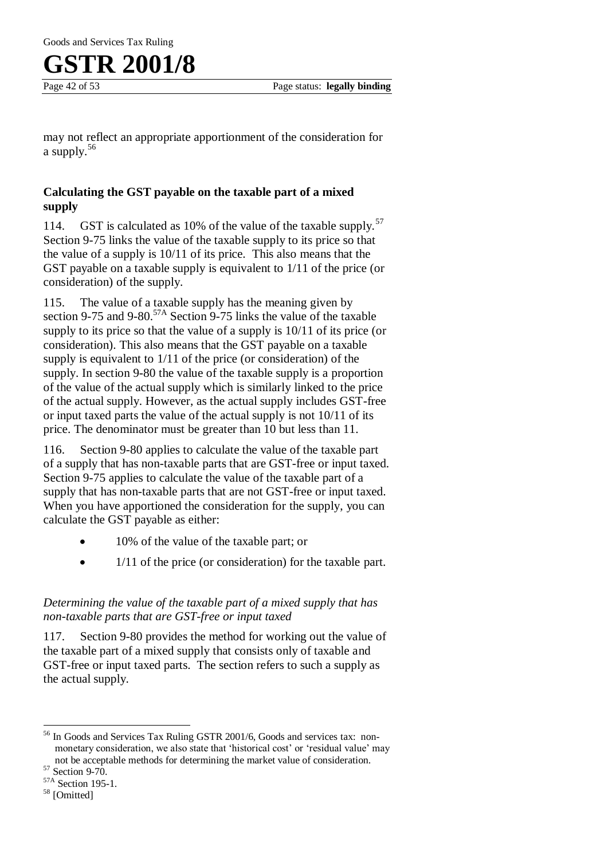

may not reflect an appropriate apportionment of the consideration for a supply.<sup>56</sup>

#### **Calculating the GST payable on the taxable part of a mixed supply**

114. GST is calculated as 10% of the value of the taxable supply.<sup>57</sup> Section 9-75 links the value of the taxable supply to its price so that the value of a supply is 10/11 of its price. This also means that the GST payable on a taxable supply is equivalent to 1/11 of the price (or consideration) of the supply.

115. The value of a taxable supply has the meaning given by section 9-75 and 9-80.<sup>57A</sup> Section 9-75 links the value of the taxable supply to its price so that the value of a supply is 10/11 of its price (or consideration). This also means that the GST payable on a taxable supply is equivalent to 1/11 of the price (or consideration) of the supply. In section 9-80 the value of the taxable supply is a proportion of the value of the actual supply which is similarly linked to the price of the actual supply. However, as the actual supply includes GST-free or input taxed parts the value of the actual supply is not 10/11 of its price. The denominator must be greater than 10 but less than 11.

116. Section 9-80 applies to calculate the value of the taxable part of a supply that has non-taxable parts that are GST-free or input taxed. Section 9-75 applies to calculate the value of the taxable part of a supply that has non-taxable parts that are not GST-free or input taxed. When you have apportioned the consideration for the supply, you can calculate the GST payable as either:

- 10% of the value of the taxable part; or
- 1/11 of the price (or consideration) for the taxable part.

#### *Determining the value of the taxable part of a mixed supply that has non-taxable parts that are GST-free or input taxed*

117. Section 9-80 provides the method for working out the value of the taxable part of a mixed supply that consists only of taxable and GST-free or input taxed parts. The section refers to such a supply as the actual supply.

 $\overline{a}$ <sup>56</sup> In Goods and Services Tax Ruling GSTR 2001/6, Goods and services tax: nonmonetary consideration, we also state that 'historical cost' or 'residual value' may not be acceptable methods for determining the market value of consideration.

<sup>57</sup> Section 9-70.

<sup>57</sup>A Section 195-1.

<sup>&</sup>lt;sup>58</sup> [Omitted]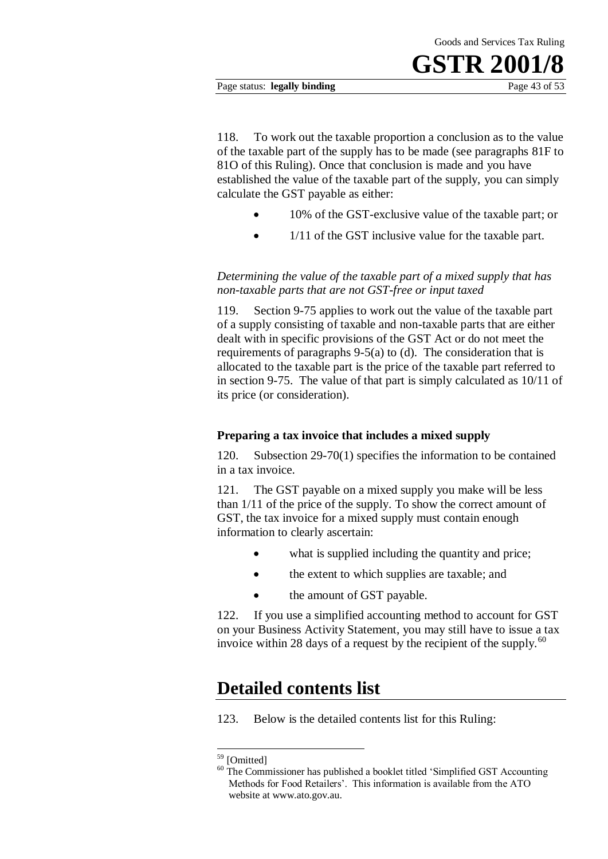118. To work out the taxable proportion a conclusion as to the value of the taxable part of the supply has to be made (see paragraphs 81F to 81O of this Ruling). Once that conclusion is made and you have established the value of the taxable part of the supply, you can simply calculate the GST payable as either:

- 10% of the GST-exclusive value of the taxable part; or
- 1/11 of the GST inclusive value for the taxable part.

*Determining the value of the taxable part of a mixed supply that has non-taxable parts that are not GST-free or input taxed* 

119. Section 9-75 applies to work out the value of the taxable part of a supply consisting of taxable and non-taxable parts that are either dealt with in specific provisions of the GST Act or do not meet the requirements of paragraphs 9-5(a) to (d). The consideration that is allocated to the taxable part is the price of the taxable part referred to in section 9-75. The value of that part is simply calculated as 10/11 of its price (or consideration).

#### **Preparing a tax invoice that includes a mixed supply**

120. Subsection 29-70(1) specifies the information to be contained in a tax invoice.

121. The GST payable on a mixed supply you make will be less than 1/11 of the price of the supply. To show the correct amount of GST, the tax invoice for a mixed supply must contain enough information to clearly ascertain:

- what is supplied including the quantity and price;
- the extent to which supplies are taxable; and
- the amount of GST payable.

122. If you use a simplified accounting method to account for GST on your Business Activity Statement, you may still have to issue a tax invoice within 28 days of a request by the recipient of the supply. $60$ 

### **Detailed contents list**

123. Below is the detailed contents list for this Ruling:

<sup>&</sup>lt;u>.</u> <sup>59</sup> [Omitted]

<sup>&</sup>lt;sup>60</sup> The Commissioner has published a booklet titled 'Simplified GST Accounting Methods for Food Retailers'. This information is available from the ATO website at www.ato.gov.au.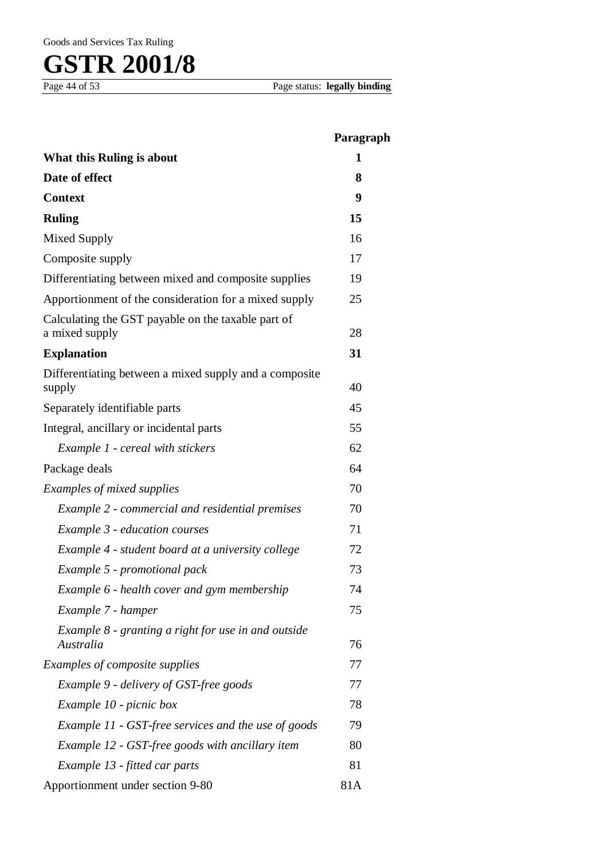# GSTR 2001/8

|                                                                      | Paragraph |
|----------------------------------------------------------------------|-----------|
| What this Ruling is about                                            | 1         |
| Date of effect                                                       | 8         |
| <b>Context</b>                                                       | 9         |
| <b>Ruling</b>                                                        | 15        |
| <b>Mixed Supply</b>                                                  | 16        |
| Composite supply                                                     | 17        |
| Differentiating between mixed and composite supplies                 | 19        |
| Apportionment of the consideration for a mixed supply                | 25        |
| Calculating the GST payable on the taxable part of<br>a mixed supply | 28        |
| <b>Explanation</b>                                                   | 31        |
| Differentiating between a mixed supply and a composite<br>supply     | 40        |
| Separately identifiable parts                                        | 45        |
| Integral, ancillary or incidental parts                              | 55        |
| Example 1 - cereal with stickers                                     | 62        |
| Package deals                                                        | 64        |
| Examples of mixed supplies                                           | 70        |
| Example 2 - commercial and residential premises                      | 70        |
| Example 3 - education courses                                        | 71        |
| Example 4 - student board at a university college                    | 72        |
| Example 5 - promotional pack                                         | 73        |
| Example 6 - health cover and gym membership                          | 74        |
| Example 7 - hamper                                                   | 75        |
| Example 8 - granting a right for use in and outside<br>Australia     | 76        |
| Examples of composite supplies                                       | 77        |
| Example 9 - delivery of GST-free goods                               | 77        |
| Example 10 - picnic box                                              | 78        |
| Example 11 - GST-free services and the use of goods                  | 79        |
| Example 12 - GST-free goods with ancillary item                      | 80        |
| Example 13 - fitted car parts                                        | 81        |
| Apportionment under section 9-80                                     | 81A       |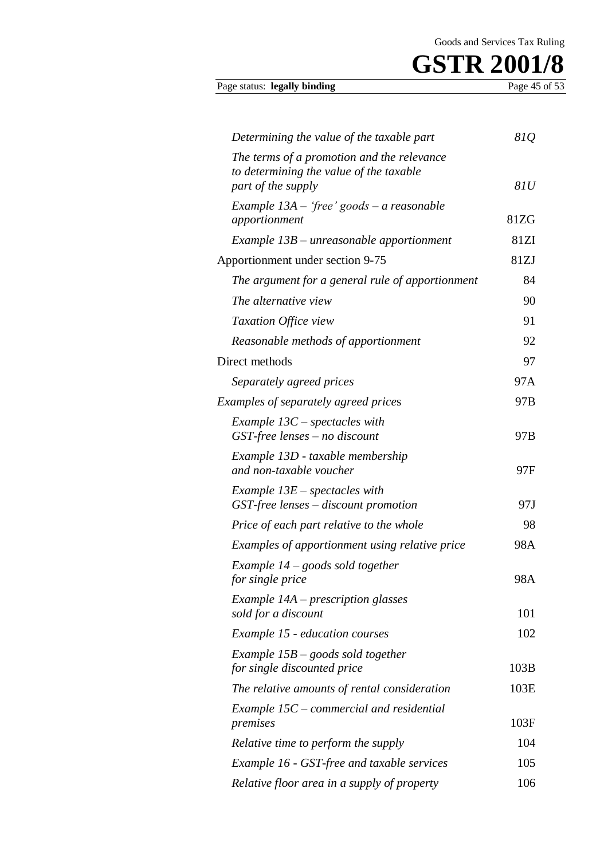#### Page status: **legally binding**

| Determining the value of the taxable part                                                                   | 81Q  |
|-------------------------------------------------------------------------------------------------------------|------|
| The terms of a promotion and the relevance<br>to determining the value of the taxable<br>part of the supply | 81U  |
| Example $13A - \text{free'} \text{goods} - a \text{ reasonable}$                                            |      |
| apportionment                                                                                               | 81ZG |
| Example 13B – unreasonable apportionment                                                                    | 81ZI |
| Apportionment under section 9-75                                                                            | 81ZJ |
| The argument for a general rule of apportionment                                                            | 84   |
| The alternative view                                                                                        | 90   |
| <b>Taxation Office view</b>                                                                                 | 91   |
| Reasonable methods of apportionment                                                                         | 92   |
| Direct methods                                                                                              | 97   |
| Separately agreed prices                                                                                    | 97A  |
| Examples of separately agreed prices                                                                        | 97B  |
| Example $13C$ – spectacles with<br>GST-free lenses - no discount                                            | 97B  |
| Example 13D - taxable membership<br>and non-taxable voucher                                                 | 97F  |
| Example 13E - spectacles with<br>GST-free lenses – discount promotion                                       | 97J  |
| Price of each part relative to the whole                                                                    | 98   |
| Examples of apportionment using relative price                                                              | 98A  |
| Example $14$ – goods sold together<br>for single price                                                      | 98A  |
| Example $14A$ – prescription glasses<br>sold for a discount                                                 | 101  |
| Example 15 - education courses                                                                              | 102  |
| Example $15B$ – goods sold together<br>for single discounted price                                          | 103B |
| The relative amounts of rental consideration                                                                | 103E |
| Example $15C$ – commercial and residential<br>premises                                                      | 103F |
| Relative time to perform the supply                                                                         | 104  |
| Example 16 - GST-free and taxable services                                                                  | 105  |
| Relative floor area in a supply of property                                                                 | 106  |
|                                                                                                             |      |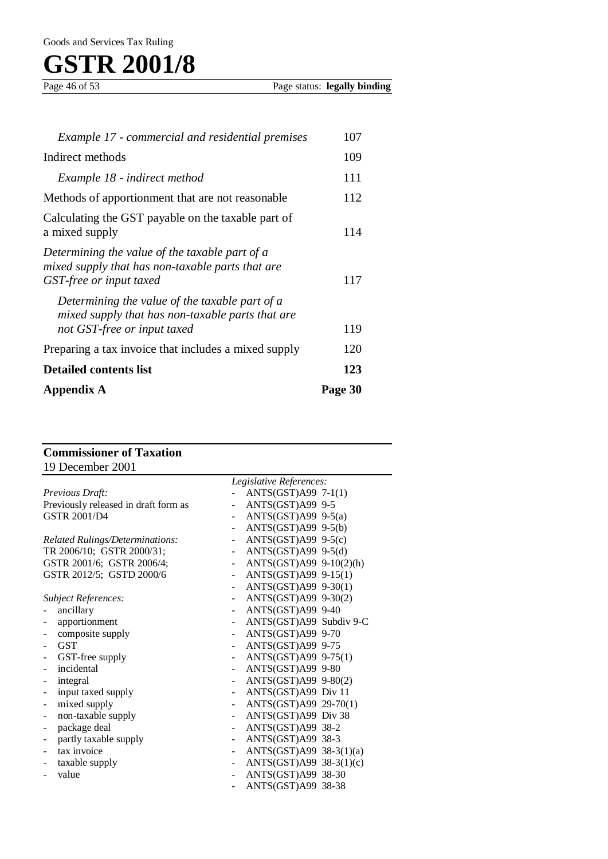# GSTR 2001/8

Page status: **legally binding** 

| <b>Appendix A</b>                                                                                                                 | Page 30 |
|-----------------------------------------------------------------------------------------------------------------------------------|---------|
| <b>Detailed contents list</b>                                                                                                     | 123     |
| Preparing a tax invoice that includes a mixed supply                                                                              | 120     |
| Determining the value of the taxable part of a<br>mixed supply that has non-taxable parts that are<br>not GST-free or input taxed | 119     |
| Determining the value of the taxable part of a<br>mixed supply that has non-taxable parts that are<br>GST-free or input taxed     | 117     |
| Calculating the GST payable on the taxable part of<br>a mixed supply                                                              | 114     |
| Methods of apportionment that are not reasonable.                                                                                 | 112     |
| Example 18 - indirect method                                                                                                      | 111     |
| Indirect methods                                                                                                                  | 109     |
| Example 17 - commercial and residential premises                                                                                  | 107     |

#### **Commissioner of Taxation** 19 December 2001

|                                                    |                          | Legislative References: |  |
|----------------------------------------------------|--------------------------|-------------------------|--|
| Previous Draft:                                    |                          | $ANTS(GST)A99 7-1(1)$   |  |
| Previously released in draft form as               | $\sim 100$               | ANTS(GST)A99 9-5        |  |
| <b>GSTR 2001/D4</b>                                | $\blacksquare$           | $ANTS(GST)$ A99 9-5(a)  |  |
|                                                    | $\blacksquare$           | $ANTS(GST)A99 9-5(b)$   |  |
| Related Rulings/Determinations:                    | $\blacksquare$           | $ANTS(GST)A99 9-5(c)$   |  |
| TR 2006/10; GSTR 2000/31;                          | $\blacksquare$           | $ANTS(GST)A99 9-5(d)$   |  |
| GSTR 2001/6; GSTR 2006/4;                          | $\blacksquare$           | ANTS(GST)A99 9-10(2)(h) |  |
| GSTR 2012/5; GSTD 2000/6                           | $\blacksquare$           | ANTS(GST)A99 9-15(1)    |  |
|                                                    | $\blacksquare$           | ANTS(GST)A99 9-30(1)    |  |
| Subject References:                                |                          | ANTS(GST)A99 9-30(2)    |  |
| ancillary                                          | $\sim$                   | ANTS(GST)A99 9-40       |  |
| apportionment                                      | $\blacksquare$           | ANTS(GST)A99 Subdiv 9-C |  |
| composite supply                                   |                          | ANTS(GST)A99 9-70       |  |
| <b>GST</b>                                         |                          | ANTS(GST)A99 9-75       |  |
| GST-free supply<br>$\overline{\phantom{a}}$        | $\overline{\phantom{0}}$ | ANTS(GST)A99 9-75(1)    |  |
| incidental<br>$\overline{\phantom{a}}$             | $\blacksquare$           | ANTS(GST)A99 9-80       |  |
| integral<br>$\overline{\phantom{a}}$               |                          | ANTS(GST)A99 9-80(2)    |  |
| input taxed supply<br>$\qquad \qquad \blacksquare$ | $\blacksquare$           | ANTS(GST)A99 Div 11     |  |
| mixed supply<br>$\overline{\phantom{0}}$           | $\blacksquare$           | ANTS(GST)A99 29-70(1)   |  |
| non-taxable supply<br>$\overline{\phantom{a}}$     | $\blacksquare$           | ANTS(GST)A99 Div 38     |  |
| package deal                                       |                          | ANTS(GST)A99 38-2       |  |
| partly taxable supply<br>$\overline{\phantom{a}}$  | $\overline{\phantom{0}}$ | ANTS(GST)A99 38-3       |  |
| tax invoice                                        | $\blacksquare$           | ANTS(GST)A99 38-3(1)(a) |  |
| taxable supply<br>$\qquad \qquad \blacksquare$     |                          | ANTS(GST)A99 38-3(1)(c) |  |
| value                                              | $\equiv$                 | ANTS(GST)A99 38-30      |  |
|                                                    | $\overline{\phantom{a}}$ | ANTS(GST)A99 38-38      |  |
|                                                    |                          |                         |  |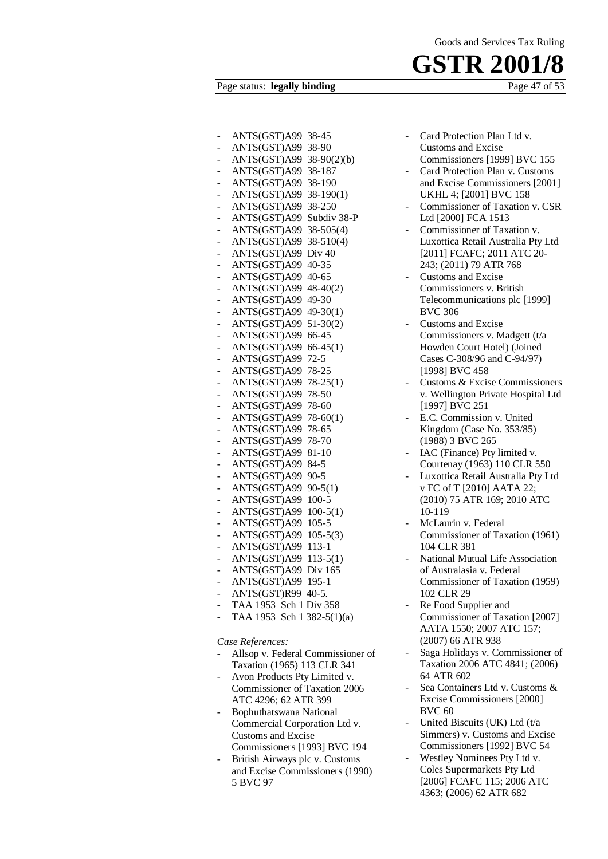#### Page status: **legally binding** Page 47 of 53

|                           | ANTS(GST)A99                      | 38-45         |  |
|---------------------------|-----------------------------------|---------------|--|
|                           | ANTS(GST)A99                      | 38-90         |  |
|                           | ANTS(GST)A99                      | $38-90(2)(b)$ |  |
|                           | ANTS(GST)A99                      | 38-187        |  |
|                           | ANTS(GST)A99                      | 38-190        |  |
|                           | ANTS(GST)A99                      | $38-190(1)$   |  |
|                           | ANTS(GST)A99                      | 38-250        |  |
|                           | ANTS(GST)A99                      | Subdiv 38-P   |  |
|                           | ANTS(GST)A99                      | 38-505(4)     |  |
|                           | ANTS(GST)A99                      | $38 - 510(4)$ |  |
|                           | ANTS(GST)A99                      | Div 40        |  |
|                           | ANTS(GST)A99                      | 40-35         |  |
|                           | ANTS(GST)A99                      | 40-65         |  |
|                           | ANTS(GST)A99                      | $48-40(2)$    |  |
|                           | ANTS(GST)A99                      | 49-30         |  |
|                           | ANTS(GST)A99                      | $49 - 30(1)$  |  |
|                           | ANTS(GST)A99                      | $51-30(2)$    |  |
|                           | ANTS(GST)A99                      | 66-45         |  |
|                           | ANTS(GST)A99                      | $66-45(1)$    |  |
|                           | ANTS(GST)A99                      | $72-5$        |  |
|                           | ANTS(GST)A99                      | 78-25         |  |
|                           | ANTS(GST)A99                      | $78-25(1)$    |  |
|                           | ANTS(GST)A99                      | 78-50         |  |
|                           | ANTS(GST)A99                      | 78-60         |  |
|                           | ANTS(GST)A99                      | $78-60(1)$    |  |
|                           | ANTS(GST)A99                      | 78-65         |  |
|                           | ANTS(GST)A99                      | 78-70         |  |
|                           | ANTS(GST)A99                      | 81-10         |  |
|                           | ANTS(GST)A99                      | 84-5          |  |
|                           | ANTS(GST)A99                      | 90-5          |  |
|                           | ANTS(GST)A99                      | $90-5(1)$     |  |
|                           | ANTS(GST)A99                      | $100 - 5$     |  |
|                           | ANTS(GST)A99                      | $100-5(1)$    |  |
|                           | ANTS(GST)A99                      | $105 - 5$     |  |
|                           | ANTS(GST)A99                      | $105-5(3)$    |  |
| -                         | ANTS(GST)A99                      | 113-1         |  |
|                           | ANTS(GST)A99                      | $113-5(1)$    |  |
|                           | ANTS(GST)A99                      | Div 165       |  |
|                           | ANTS(GST)A99 195-1                |               |  |
|                           | ANTS(GST)R99 40-5.                |               |  |
| $\mathbb{R}^{\mathbb{Z}}$ | TAA 1953 Sch 1 Div 358            |               |  |
| $\mathbf{L}^{\text{max}}$ | TAA 1953 Sch 1 382-5(1)(a)        |               |  |
|                           |                                   |               |  |
| Case References:          |                                   |               |  |
|                           | Allsop v. Federal Commissioner of |               |  |
|                           | Taxation (1965) 113 CLR 341       |               |  |

- *-* Avon Products Pty Limited v. Commissioner of Taxation 2006 ATC 4296; 62 ATR 399
- Bophuthatswana National Commercial Corporation Ltd v. Customs and Excise Commissioners [1993] BVC 194
- British Airways plc v. Customs and Excise Commissioners (1990) 5 BVC 97

#### Card Protection Plan Ltd v. Customs and Excise Commissioners [1999] BVC 155 Card Protection Plan v. Customs and Excise Commissioners [2001] UKHL 4; [2001] BVC 158 Commissioner of Taxation v. CSR Ltd [2000] FCA 1513

- Commissioner of Taxation v. Luxottica Retail Australia Pty Ltd [2011] FCAFC; 2011 ATC 20- 243; (2011) 79 ATR 768
- Customs and Excise Commissioners v. British Telecommunications plc [1999] BVC 306
- Customs and Excise Commissioners v. Madgett (t/a Howden Court Hotel) (Joined Cases C-308/96 and C-94/97) [1998] BVC 458
- Customs & Excise Commissioners v. Wellington Private Hospital Ltd [1997] BVC 251
- E.C. Commission v. United Kingdom (Case No. 353/85) (1988) 3 BVC 265
- IAC (Finance) Pty limited v. Courtenay (1963) 110 CLR 550
- Luxottica Retail Australia Pty Ltd v FC of T [2010] AATA 22; (2010) 75 ATR 169; 2010 ATC 10-119
- McLaurin v. Federal Commissioner of Taxation (1961) 104 CLR 381
- National Mutual Life Association of Australasia v. Federal Commissioner of Taxation (1959) 102 CLR 29
- Re Food Supplier and Commissioner of Taxation [2007] AATA 1550; 2007 ATC 157; (2007) 66 ATR 938
- Saga Holidays v. Commissioner of Taxation 2006 ATC 4841; (2006) 64 ATR 602
- Sea Containers Ltd v. Customs & Excise Commissioners [2000] BVC 60
- United Biscuits (UK) Ltd (t/a Simmers) v. Customs and Excise Commissioners [1992] BVC 54
- Westley Nominees Pty Ltd v. Coles Supermarkets Pty Ltd [2006] FCAFC 115; 2006 ATC 4363; (2006) 62 ATR 682

### **GSTR 2001**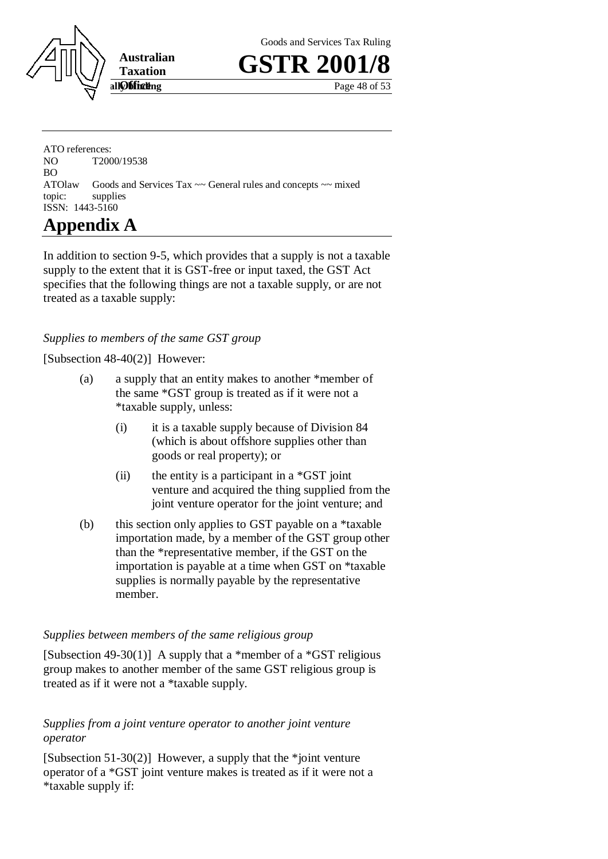

**GSTR 2001/8**

Page 48 of 53



In addition to section 9-5, which provides that a supply is not a taxable supply to the extent that it is GST-free or input taxed, the GST Act specifies that the following things are not a taxable supply, or are not treated as a taxable supply:

#### *Supplies to members of the same GST group*

#### [Subsection 48-40(2)] However:

- (a) a supply that an entity makes to another \*member of the same \*GST group is treated as if it were not a \*taxable supply, unless:
	- (i) it is a taxable supply because of Division 84 (which is about offshore supplies other than goods or real property); or
	- (ii) the entity is a participant in a \*GST joint venture and acquired the thing supplied from the joint venture operator for the joint venture; and
- (b) this section only applies to GST payable on a \*taxable importation made, by a member of the GST group other than the \*representative member, if the GST on the importation is payable at a time when GST on \*taxable supplies is normally payable by the representative member.

#### *Supplies between members of the same religious group*

[Subsection 49-30(1)] A supply that a \*member of a \*GST religious group makes to another member of the same GST religious group is treated as if it were not a \*taxable supply.

#### *Supplies from a joint venture operator to another joint venture operator*

[Subsection 51-30(2)] However, a supply that the \*joint venture operator of a \*GST joint venture makes is treated as if it were not a \*taxable supply if: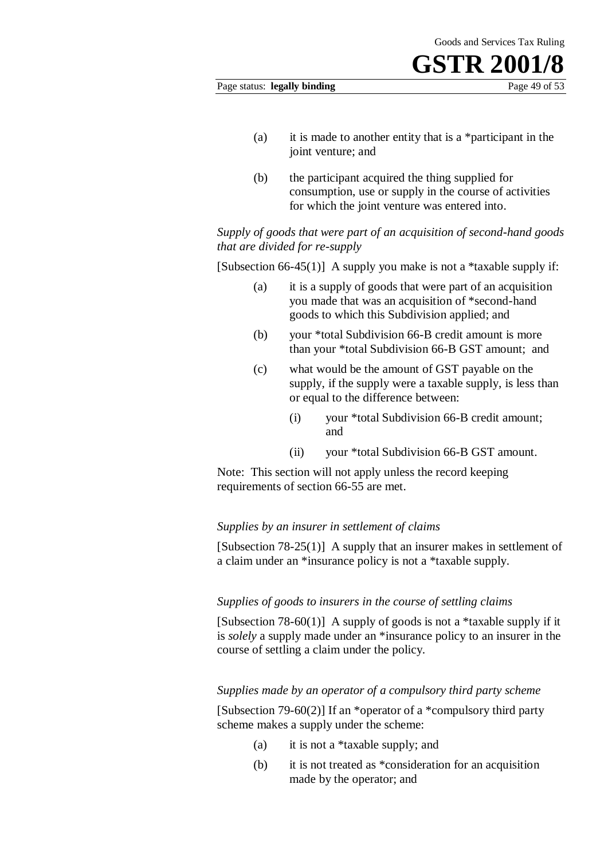Page status: **legally binding** Page 49 of 53

- (a) it is made to another entity that is a \*participant in the joint venture; and
- (b) the participant acquired the thing supplied for consumption, use or supply in the course of activities for which the joint venture was entered into.

#### *Supply of goods that were part of an acquisition of second-hand goods that are divided for re-supply*

[Subsection 66-45(1)] A supply you make is not a \*taxable supply if:

- (a) it is a supply of goods that were part of an acquisition you made that was an acquisition of \*second-hand goods to which this Subdivision applied; and
- (b) your \*total Subdivision 66-B credit amount is more than your \*total Subdivision 66-B GST amount; and
- (c) what would be the amount of GST payable on the supply, if the supply were a taxable supply, is less than or equal to the difference between:
	- (i) your \*total Subdivision 66-B credit amount; and
	- (ii) your \*total Subdivision 66-B GST amount.

Note: This section will not apply unless the record keeping requirements of section 66-55 are met.

#### *Supplies by an insurer in settlement of claims*

[Subsection 78-25(1)] A supply that an insurer makes in settlement of a claim under an \*insurance policy is not a \*taxable supply.

#### *Supplies of goods to insurers in the course of settling claims*

[Subsection 78-60(1)] A supply of goods is not a \*taxable supply if it is *solely* a supply made under an \*insurance policy to an insurer in the course of settling a claim under the policy.

#### *Supplies made by an operator of a compulsory third party scheme*

[Subsection 79-60(2)] If an \*operator of a \*compulsory third party scheme makes a supply under the scheme:

- (a) it is not a \*taxable supply; and
- (b) it is not treated as \*consideration for an acquisition made by the operator; and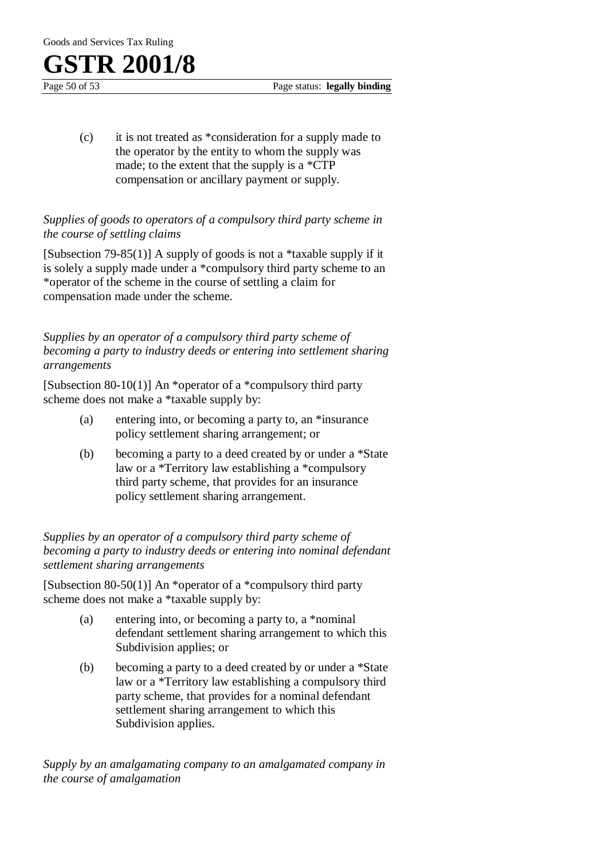Page 50 of 53 Page status: **legally binding**

(c) it is not treated as \*consideration for a supply made to the operator by the entity to whom the supply was made; to the extent that the supply is a \*CTP compensation or ancillary payment or supply.

*Supplies of goods to operators of a compulsory third party scheme in the course of settling claims* 

[Subsection 79-85(1)] A supply of goods is not a \*taxable supply if it is solely a supply made under a \*compulsory third party scheme to an \*operator of the scheme in the course of settling a claim for compensation made under the scheme.

*Supplies by an operator of a compulsory third party scheme of becoming a party to industry deeds or entering into settlement sharing arrangements* 

[Subsection 80-10(1)] An \*operator of a \*compulsory third party scheme does not make a \*taxable supply by:

- (a) entering into, or becoming a party to, an \*insurance policy settlement sharing arrangement; or
- (b) becoming a party to a deed created by or under a \*State law or a \*Territory law establishing a \*compulsory third party scheme, that provides for an insurance policy settlement sharing arrangement.

*Supplies by an operator of a compulsory third party scheme of becoming a party to industry deeds or entering into nominal defendant settlement sharing arrangements* 

[Subsection 80-50(1)] An \*operator of a \*compulsory third party scheme does not make a \*taxable supply by:

- (a) entering into, or becoming a party to, a \*nominal defendant settlement sharing arrangement to which this Subdivision applies; or
- (b) becoming a party to a deed created by or under a \*State law or a \*Territory law establishing a compulsory third party scheme, that provides for a nominal defendant settlement sharing arrangement to which this Subdivision applies.

*Supply by an amalgamating company to an amalgamated company in the course of amalgamation*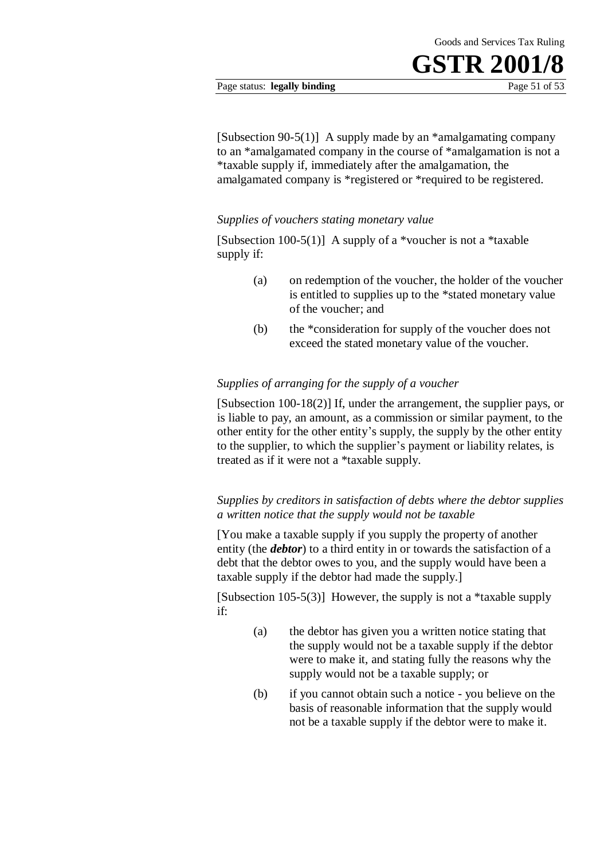#### Page status: **legally binding** Page 51 of 53

[Subsection 90-5(1)] A supply made by an \*amalgamating company to an \*amalgamated company in the course of \*amalgamation is not a \*taxable supply if, immediately after the amalgamation, the amalgamated company is \*registered or \*required to be registered.

#### *Supplies of vouchers stating monetary value*

[Subsection 100-5(1)] A supply of a \*voucher is not a \*taxable supply if:

- (a) on redemption of the voucher, the holder of the voucher is entitled to supplies up to the \*stated monetary value of the voucher; and
- (b) the \*consideration for supply of the voucher does not exceed the stated monetary value of the voucher.

#### *Supplies of arranging for the supply of a voucher*

[Subsection 100-18(2)] If, under the arrangement, the supplier pays, or is liable to pay, an amount, as a commission or similar payment, to the other entity for the other entity's supply, the supply by the other entity to the supplier, to which the supplier's payment or liability relates, is treated as if it were not a \*taxable supply.

*Supplies by creditors in satisfaction of debts where the debtor supplies a written notice that the supply would not be taxable*

[You make a taxable supply if you supply the property of another entity (the *debtor*) to a third entity in or towards the satisfaction of a debt that the debtor owes to you, and the supply would have been a taxable supply if the debtor had made the supply.]

[Subsection 105-5(3)] However, the supply is not a \*taxable supply if:

- (a) the debtor has given you a written notice stating that the supply would not be a taxable supply if the debtor were to make it, and stating fully the reasons why the supply would not be a taxable supply; or
- (b) if you cannot obtain such a notice you believe on the basis of reasonable information that the supply would not be a taxable supply if the debtor were to make it.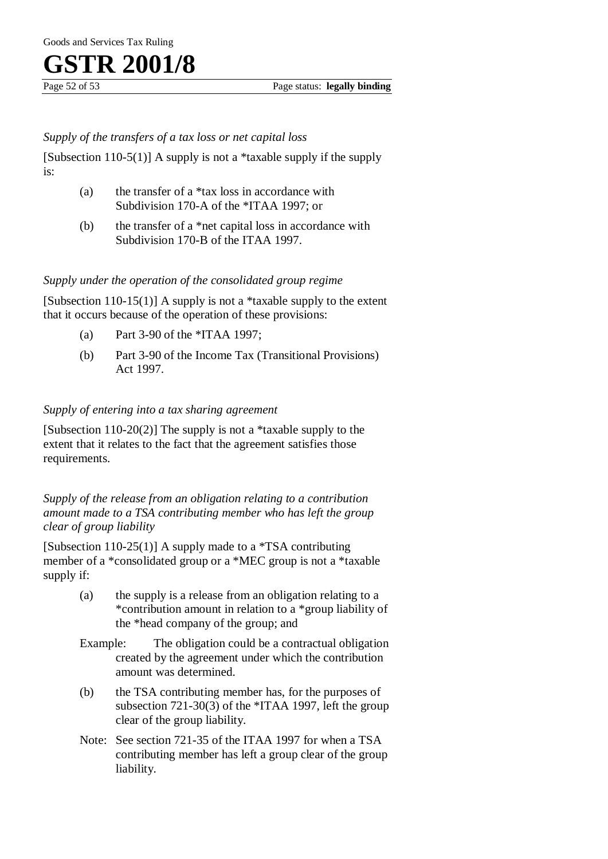#### *Supply of the transfers of a tax loss or net capital loss*

[Subsection 110-5(1)] A supply is not a \*taxable supply if the supply is:

- (a) the transfer of a \*tax loss in accordance with Subdivision 170-A of the \*ITAA 1997; or
- (b) the transfer of a \*net capital loss in accordance with Subdivision 170-B of the ITAA 1997.

#### *Supply under the operation of the consolidated group regime*

[Subsection 110-15(1)] A supply is not a \*taxable supply to the extent that it occurs because of the operation of these provisions:

- (a) Part 3-90 of the \*ITAA 1997;
- (b) Part 3-90 of the Income Tax (Transitional Provisions) Act 1997.

#### *Supply of entering into a tax sharing agreement*

[Subsection 110-20(2)] The supply is not a \*taxable supply to the extent that it relates to the fact that the agreement satisfies those requirements.

*Supply of the release from an obligation relating to a contribution amount made to a TSA contributing member who has left the group clear of group liability* 

[Subsection 110-25(1)] A supply made to a \*TSA contributing member of a \*consolidated group or a \*MEC group is not a \*taxable supply if:

- (a) the supply is a release from an obligation relating to a \*contribution amount in relation to a \*group liability of the \*head company of the group; and
- Example: The obligation could be a contractual obligation created by the agreement under which the contribution amount was determined.
- (b) the TSA contributing member has, for the purposes of subsection 721-30(3) of the \*ITAA 1997, left the group clear of the group liability.
- Note: See section 721-35 of the ITAA 1997 for when a TSA contributing member has left a group clear of the group liability.